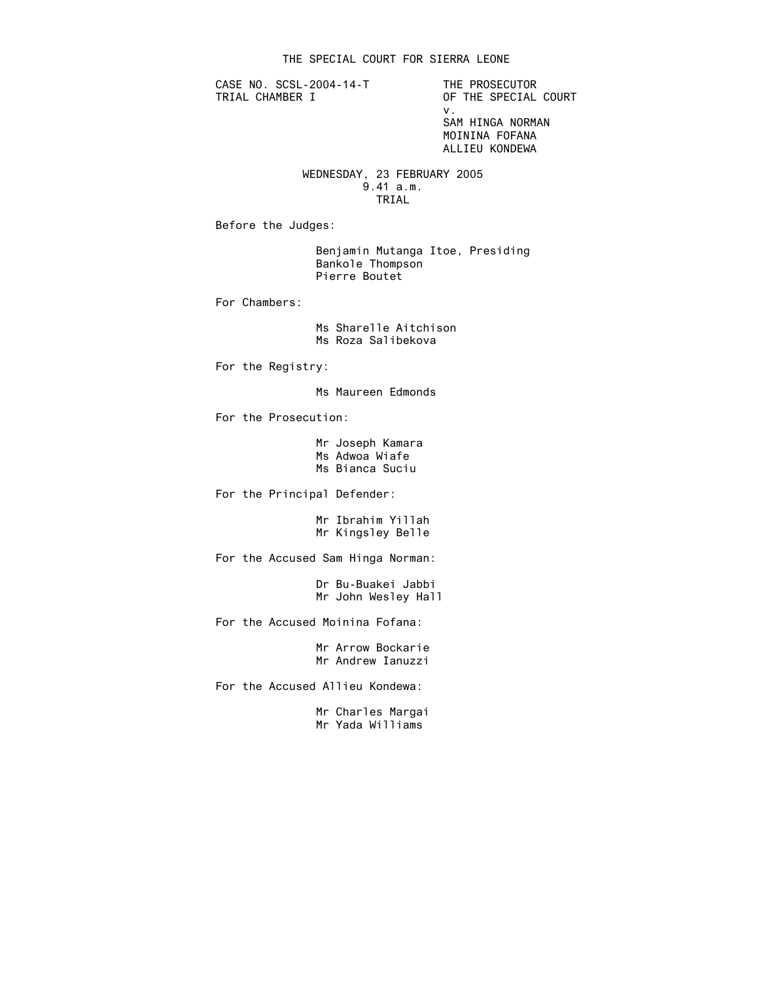CASE NO. SCSL-2004-14-T THE PROSECUTOR<br>TRIAL CHAMBER I OF THE SPECIAL

OF THE SPECIAL COURT v. SAM HINGA NORMAN MOININA FOFANA ALLIEU KONDEWA

#### WEDNESDAY, 23 FEBRUARY 2005 9.41 a.m. TRIAL

Before the Judges:

 Benjamin Mutanga Itoe, Presiding Bankole Thompson Pierre Boutet

For Chambers:

 Ms Sharelle Aitchison Ms Roza Salibekova

For the Registry:

Ms Maureen Edmonds

For the Prosecution:

 Mr Joseph Kamara Ms Adwoa Wiafe Ms Bianca Suciu

For the Principal Defender:

 Mr Ibrahim Yillah Mr Kingsley Belle

For the Accused Sam Hinga Norman:

 Dr Bu-Buakei Jabbi Mr John Wesley Hall

For the Accused Moinina Fofana:

 Mr Arrow Bockarie Mr Andrew Ianuzzi

For the Accused Allieu Kondewa:

 Mr Charles Margai Mr Yada Williams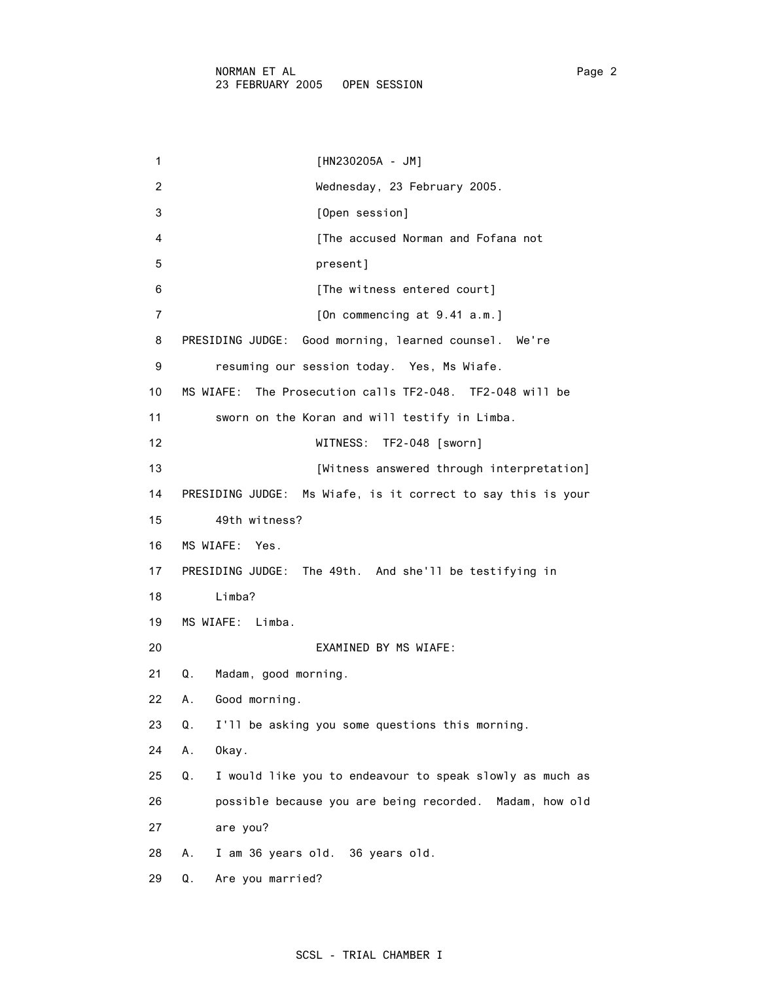| 1              | $[HN230205A - JM]$                                             |
|----------------|----------------------------------------------------------------|
| $\overline{2}$ | Wednesday, 23 February 2005.                                   |
| 3              | [Open session]                                                 |
| 4              | [The accused Norman and Fofana not                             |
| 5              | present]                                                       |
| 6              | [The witness entered court]                                    |
| 7              | [On commencing at $9.41$ a.m.]                                 |
| 8              | Good morning, learned counsel. We're<br>PRESIDING JUDGE:       |
| 9              | resuming our session today. Yes, Ms Wiafe.                     |
| 10             | The Prosecution calls TF2-048. TF2-048 will be<br>MS WIAFE:    |
| 11             | sworn on the Koran and will testify in Limba.                  |
| 12             | WITNESS:<br>TF2-048 [sworn]                                    |
| 13             | [Witness answered through interpretation]                      |
| 14             | PRESIDING JUDGE: Ms Wiafe, is it correct to say this is your   |
| 15             | 49th witness?                                                  |
| 16             | MS WIAFE:<br>Yes.                                              |
| 17             | PRESIDING JUDGE: The 49th. And she'll be testifying in         |
| 18             | Limba?                                                         |
| 19             | MS WIAFE: Limba.                                               |
| 20             | EXAMINED BY MS WIAFE:                                          |
| 21             | Madam, good morning.<br>Q.                                     |
| 22             | Good morning.<br>А.                                            |
| 23             | I'll be asking you some questions this morning.<br>Q.          |
| 24             | Α.<br>Okay.                                                    |
| 25             | I would like you to endeavour to speak slowly as much as<br>Q. |
| 26             | possible because you are being recorded.<br>Madam, how old     |
| 27             | are you?                                                       |
| 28             | Α.<br>I am 36 years old. 36 years old.                         |
| 29             | Q.<br>Are you married?                                         |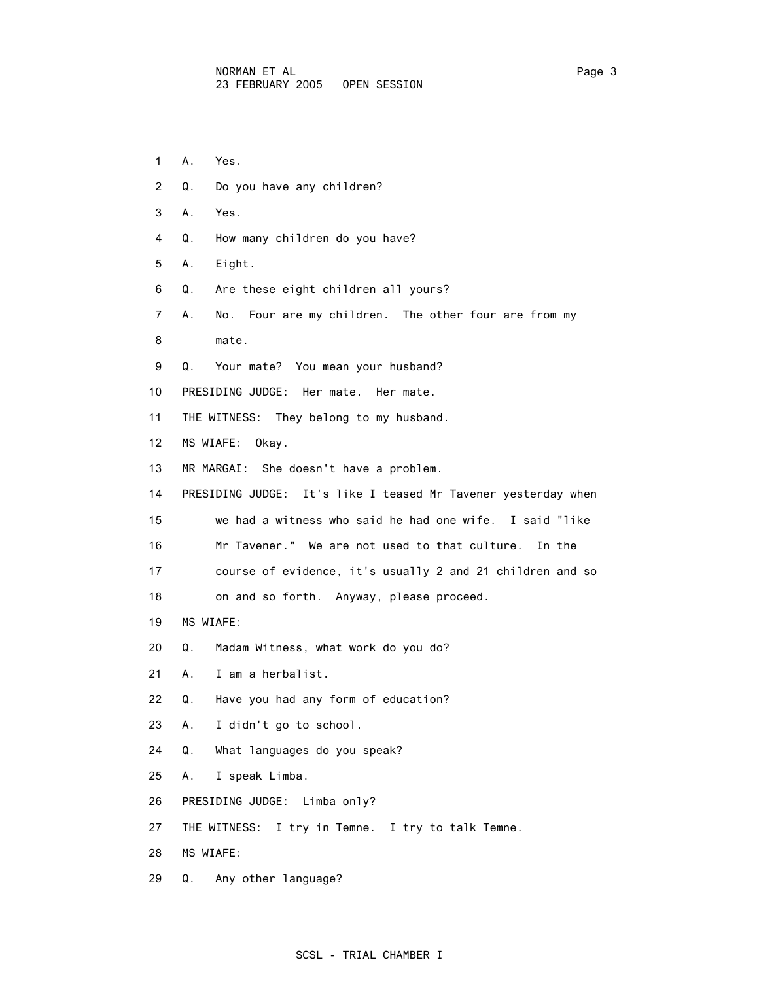- 1 A. Yes.
- 2 Q. Do you have any children?
- 3 A. Yes.
- 4 Q. How many children do you have?
- 5 A. Eight.
- 6 Q. Are these eight children all yours?
- 7 A. No. Four are my children. The other four are from my
- 8 mate.
- 9 Q. Your mate? You mean your husband?
- 10 PRESIDING JUDGE: Her mate. Her mate.
- 11 THE WITNESS: They belong to my husband.
- 12 MS WIAFE: Okay.
- 13 MR MARGAI: She doesn't have a problem.
- 14 PRESIDING JUDGE: It's like I teased Mr Tavener yesterday when
- 15 we had a witness who said he had one wife. I said "like
- 16 Mr Tavener." We are not used to that culture. In the
- 17 course of evidence, it's usually 2 and 21 children and so
- 18 on and so forth. Anyway, please proceed.
- 19 MS WIAFE:
- 20 Q. Madam Witness, what work do you do?
- 21 A. I am a herbalist.
- 22 Q. Have you had any form of education?
- 23 A. I didn't go to school.
- 24 Q. What languages do you speak?
- 25 A. I speak Limba.
- 26 PRESIDING JUDGE: Limba only?
- 27 THE WITNESS: I try in Temne. I try to talk Temne.
- 28 MS WIAFE:
- 29 Q. Any other language?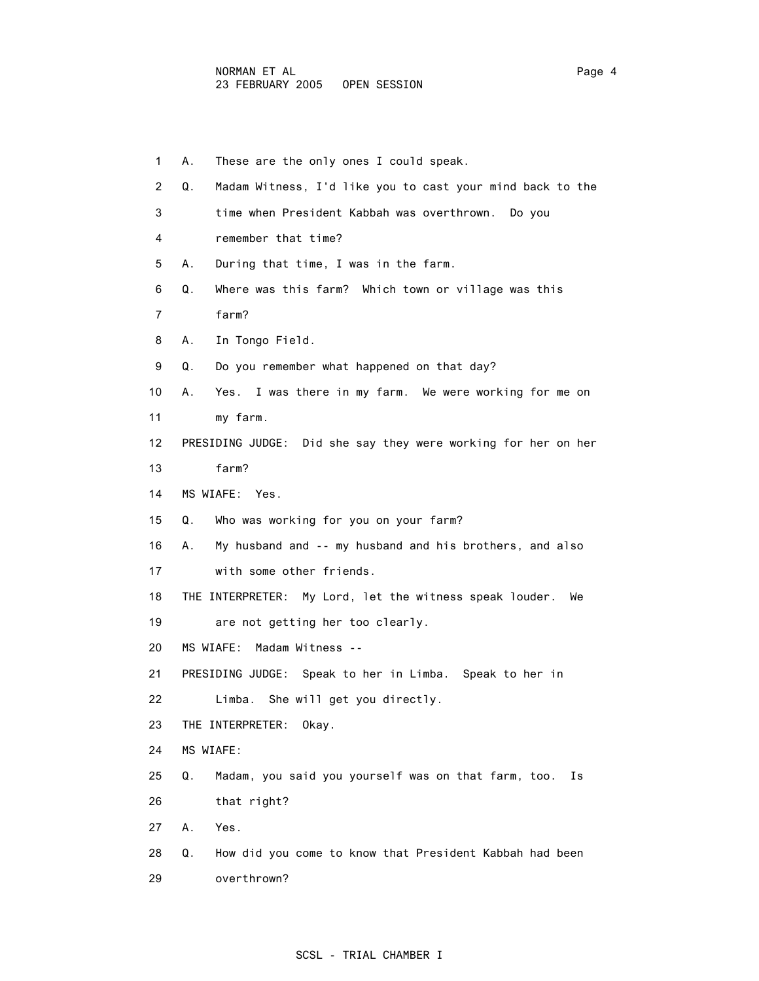| 1               | These are the only ones I could speak.<br>А.                    |
|-----------------|-----------------------------------------------------------------|
| 2               | Madam Witness, I'd like you to cast your mind back to the<br>Q. |
| 3               | time when President Kabbah was overthrown. Do you               |
| 4               | remember that time?                                             |
| 5               | During that time, I was in the farm.<br>А.                      |
| 6               | Where was this farm? Which town or village was this<br>Q.       |
| 7               | farm?                                                           |
| 8               | In Tongo Field.<br>А.                                           |
| 9               | Do you remember what happened on that day?<br>Q.                |
| 10              | Yes. I was there in my farm. We were working for me on<br>А.    |
| 11              | my farm.                                                        |
| 12 <sup>2</sup> | PRESIDING JUDGE: Did she say they were working for her on her   |
| 13              | farm?                                                           |
| 14              | MS WIAFE: Yes.                                                  |
| 15              | Who was working for you on your farm?<br>Q.                     |
| 16              | My husband and -- my husband and his brothers, and also<br>А.   |
| 17              | with some other friends.                                        |
| 18              | THE INTERPRETER: My Lord, let the witness speak louder.<br>We   |
| 19              | are not getting her too clearly.                                |
| 20              | MS WIAFE:<br>Madam Witness --                                   |
| 21              | PRESIDING JUDGE: Speak to her in Limba. Speak to her in         |
| 22              | Limba. She will get you directly.                               |
| 23              | THE INTERPRETER:<br>Okay.                                       |
| 24              | MS WIAFE:                                                       |
| 25              | Q.<br>Madam, you said you yourself was on that farm, too.<br>Ιs |
| 26              | that right?                                                     |
| 27              | Yes.<br>Α.                                                      |
| 28              | Q.<br>How did you come to know that President Kabbah had been   |
| 29              | overthrown?                                                     |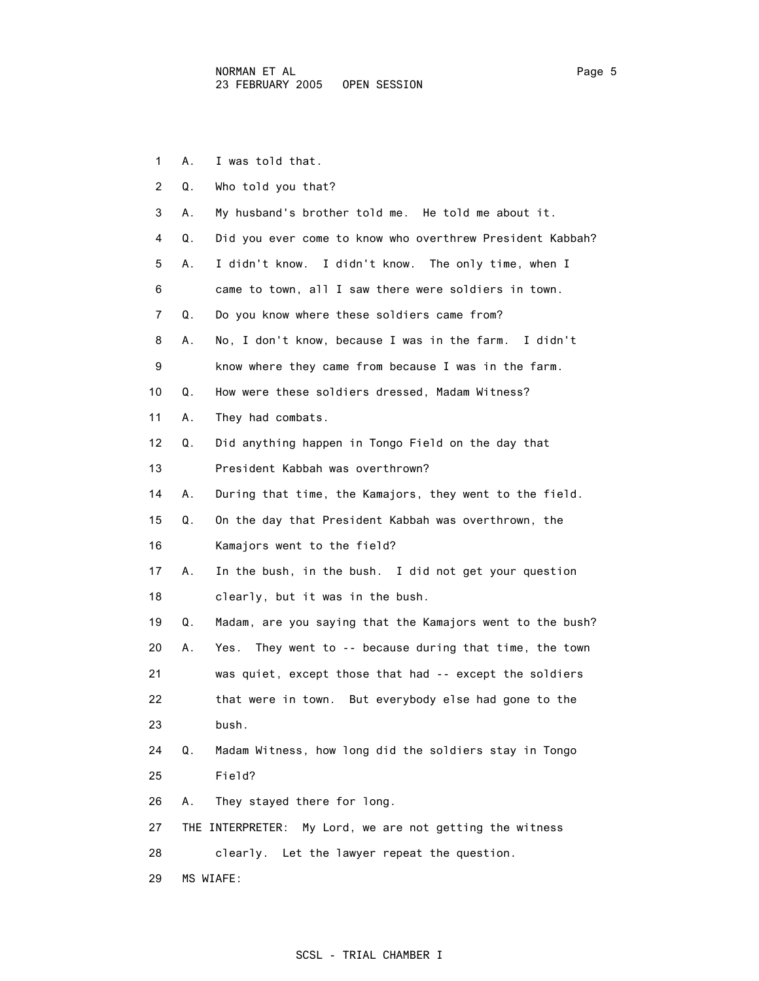1 A. I was told that. 2 Q. Who told you that? 3 A. My husband's brother told me. He told me about it. 4 Q. Did you ever come to know who overthrew President Kabbah? 5 A. I didn't know. I didn't know. The only time, when I 6 came to town, all I saw there were soldiers in town. 7 Q. Do you know where these soldiers came from? 8 A. No, I don't know, because I was in the farm. I didn't 9 know where they came from because I was in the farm. 10 Q. How were these soldiers dressed, Madam Witness? 11 A. They had combats. 12 Q. Did anything happen in Tongo Field on the day that 13 President Kabbah was overthrown? 14 A. During that time, the Kamajors, they went to the field. 15 Q. On the day that President Kabbah was overthrown, the 16 Kamajors went to the field? 17 A. In the bush, in the bush. I did not get your question 18 clearly, but it was in the bush. 19 Q. Madam, are you saying that the Kamajors went to the bush? 20 A. Yes. They went to -- because during that time, the town 21 was quiet, except those that had -- except the soldiers 22 that were in town. But everybody else had gone to the 23 bush. 24 Q. Madam Witness, how long did the soldiers stay in Tongo 25 Field? 26 A. They stayed there for long. 27 THE INTERPRETER: My Lord, we are not getting the witness 28 clearly. Let the lawyer repeat the question. 29 MS WIAFE: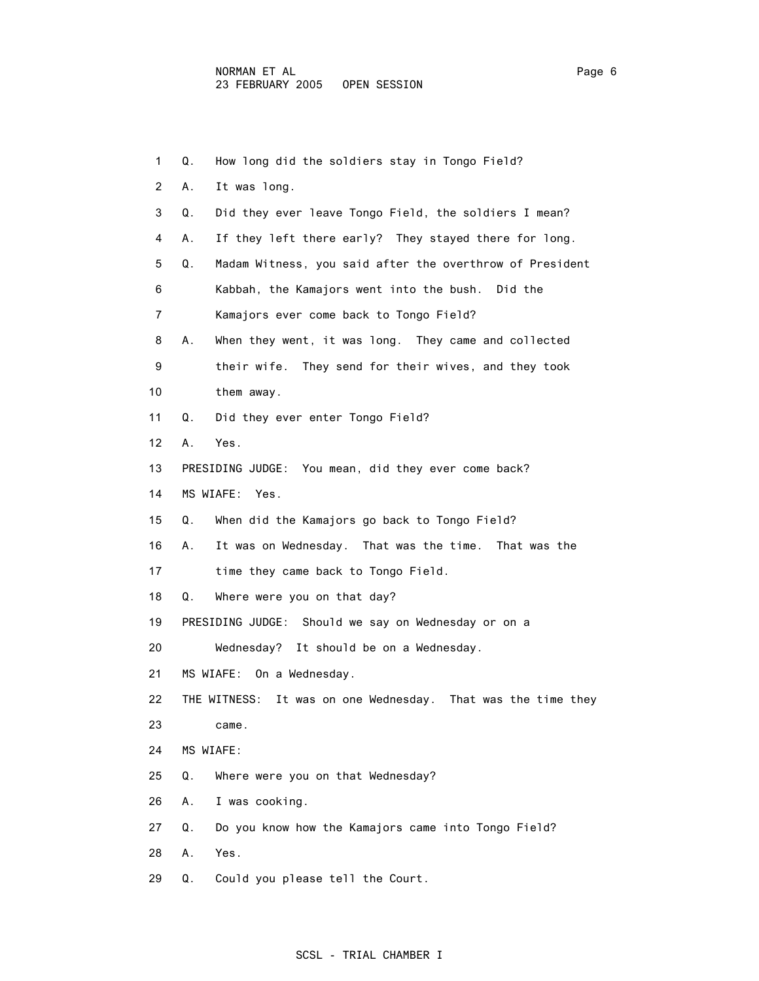| 1               | How long did the soldiers stay in Tongo Field?<br>Q.           |  |
|-----------------|----------------------------------------------------------------|--|
| $\overline{2}$  | It was long.<br>А.                                             |  |
| 3               | Q.<br>Did they ever leave Tongo Field, the soldiers I mean?    |  |
| 4               | If they left there early? They stayed there for long.<br>А.    |  |
| 5               | Madam Witness, you said after the overthrow of President<br>Q. |  |
| 6               | Kabbah, the Kamajors went into the bush.<br>Did the            |  |
| 7               | Kamajors ever come back to Tongo Field?                        |  |
| 8               | When they went, it was long. They came and collected<br>А.     |  |
| 9               | their wife. They send for their wives, and they took           |  |
| 10              | them away.                                                     |  |
| 11              | Q.<br>Did they ever enter Tongo Field?                         |  |
| 12 <sup>2</sup> | Yes.<br>Α.                                                     |  |
| 13              | PRESIDING JUDGE: You mean, did they ever come back?            |  |
| 14              | MS WIAFE: Yes.                                                 |  |
| 15              | When did the Kamajors go back to Tongo Field?<br>Q.            |  |
| 16              | It was on Wednesday. That was the time. That was the<br>А.     |  |
| 17              | time they came back to Tongo Field.                            |  |
| 18              | Where were you on that day?<br>Q.                              |  |
| 19              | PRESIDING JUDGE: Should we say on Wednesday or on a            |  |
| 20              | Wednesday? It should be on a Wednesday.                        |  |
| 21              | MS WIAFE: On a Wednesday.                                      |  |
| 22              | THE WITNESS: It was on one Wednesday. That was the time they   |  |
| 23              | came.                                                          |  |
| 24              | MS WIAFE:                                                      |  |
| 25              | Q.<br>Where were you on that Wednesday?                        |  |
| 26              | I was cooking.<br>А.                                           |  |
| 27              | Do you know how the Kamajors came into Tongo Field?<br>Q.      |  |
| 28              | Yes.<br>Α.                                                     |  |
| 29              | Q.<br>Could you please tell the Court.                         |  |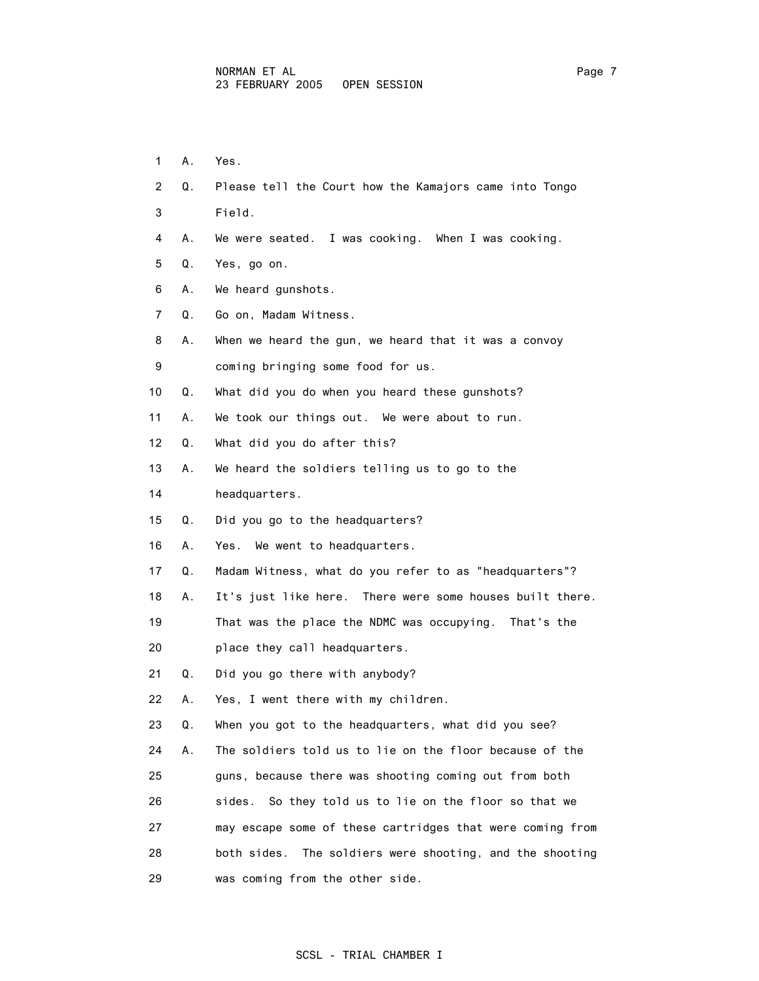- 1 A. Yes.
- 2 Q. Please tell the Court how the Kamajors came into Tongo
- 3 Field.
- 4 A. We were seated. I was cooking. When I was cooking.
- 5 Q. Yes, go on.
- 6 A. We heard gunshots.
- 7 Q. Go on, Madam Witness.
- 8 A. When we heard the gun, we heard that it was a convoy
- 9 coming bringing some food for us.
- 10 Q. What did you do when you heard these gunshots?
- 11 A. We took our things out. We were about to run.
- 12 Q. What did you do after this?
- 13 A. We heard the soldiers telling us to go to the
- 14 headquarters.
- 15 Q. Did you go to the headquarters?
- 16 A. Yes. We went to headquarters.
- 17 Q. Madam Witness, what do you refer to as "headquarters"?
- 18 A. It's just like here. There were some houses built there.
- 19 That was the place the NDMC was occupying. That's the
- 20 place they call headquarters.
- 21 Q. Did you go there with anybody?
- 22 A. Yes, I went there with my children.
- 23 Q. When you got to the headquarters, what did you see?
- 24 A. The soldiers told us to lie on the floor because of the
- 25 guns, because there was shooting coming out from both
- 26 sides. So they told us to lie on the floor so that we
- 27 may escape some of these cartridges that were coming from 28 both sides. The soldiers were shooting, and the shooting 29 was coming from the other side.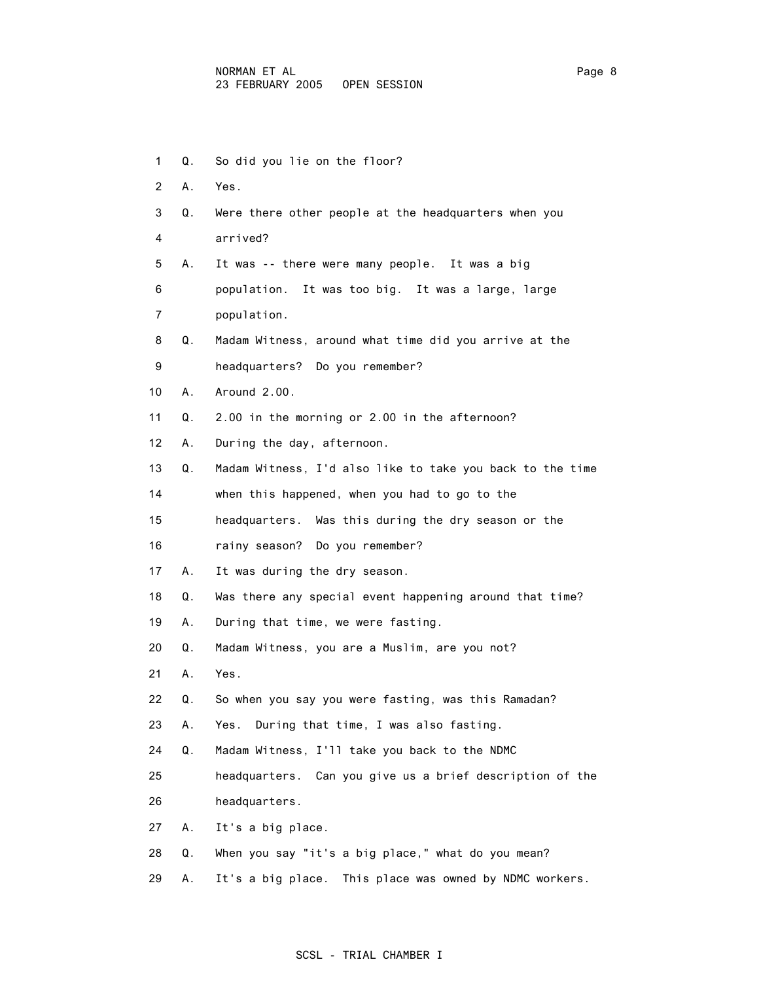1 Q. So did you lie on the floor? 2 A. Yes. 3 Q. Were there other people at the headquarters when you 4 arrived? 5 A. It was -- there were many people. It was a big 6 population. It was too big. It was a large, large 7 population. 8 Q. Madam Witness, around what time did you arrive at the 9 headquarters? Do you remember? 10 A. Around 2.00. 11 Q. 2.00 in the morning or 2.00 in the afternoon? 12 A. During the day, afternoon. 13 Q. Madam Witness, I'd also like to take you back to the time 14 when this happened, when you had to go to the 15 headquarters. Was this during the dry season or the 16 rainy season? Do you remember? 17 A. It was during the dry season. 18 Q. Was there any special event happening around that time? 19 A. During that time, we were fasting. 20 Q. Madam Witness, you are a Muslim, are you not? 21 A. Yes. 22 Q. So when you say you were fasting, was this Ramadan? 23 A. Yes. During that time, I was also fasting. 24 Q. Madam Witness, I'll take you back to the NDMC 25 headquarters. Can you give us a brief description of the 26 headquarters. 27 A. It's a big place. 28 Q. When you say "it's a big place," what do you mean? 29 A. It's a big place. This place was owned by NDMC workers.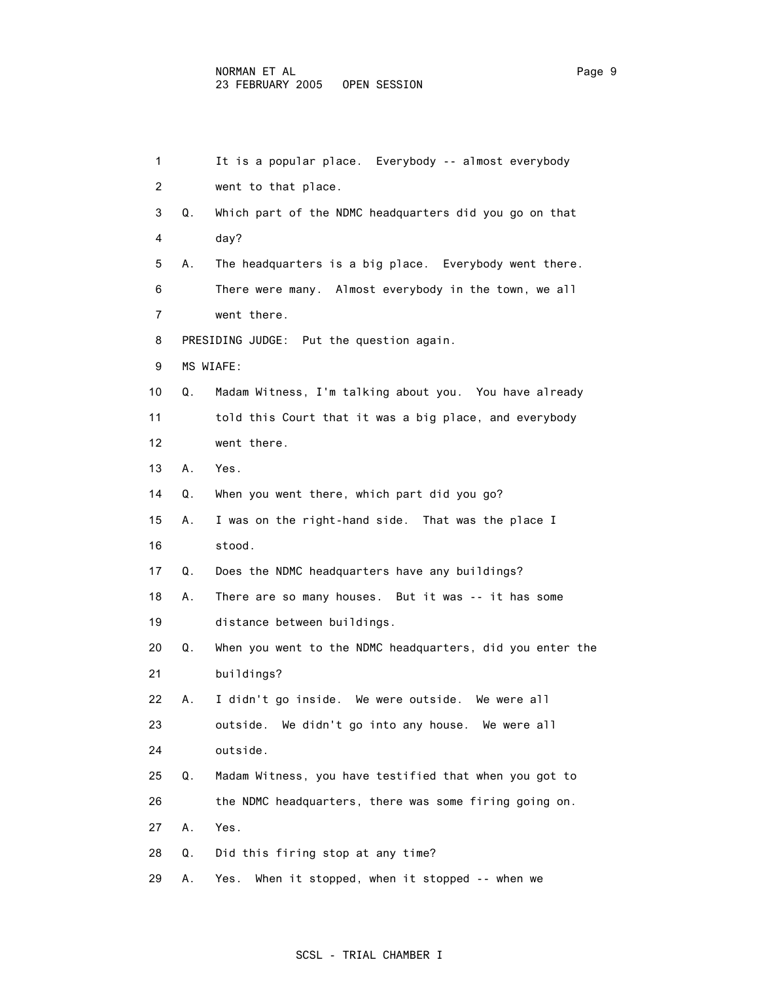#### NORMAN ET AL Page 9 23 FEBRUARY 2005 OPEN SESSION

| 1              |    | It is a popular place. Everybody -- almost everybody      |
|----------------|----|-----------------------------------------------------------|
| $\overline{2}$ |    | went to that place.                                       |
| 3              | Q. | Which part of the NDMC headquarters did you go on that    |
| 4              |    | day?                                                      |
| 5              | А. | The headquarters is a big place. Everybody went there.    |
| 6              |    | There were many. Almost everybody in the town, we all     |
| 7              |    | went there.                                               |
| 8              |    | PRESIDING JUDGE: Put the question again.                  |
| 9              |    | MS WIAFE:                                                 |
| 10             | Q. | Madam Witness, I'm talking about you. You have already    |
| 11             |    | told this Court that it was a big place, and everybody    |
| 12             |    | went there.                                               |
| 13             | А. | Yes.                                                      |
| 14             | Q. | When you went there, which part did you go?               |
| 15             | А. | I was on the right-hand side. That was the place I        |
| 16             |    | stood.                                                    |
| 17             | Q. | Does the NDMC headquarters have any buildings?            |
| 18             | А. | There are so many houses. But it was -- it has some       |
| 19             |    | distance between buildings.                               |
| 20             | Q. | When you went to the NDMC headquarters, did you enter the |
| 21             |    | buildings?                                                |
| 22             | А. | I didn't go inside. We were outside. We were all          |
| 23             |    | We didn't go into any house. We were all<br>outside.      |
| 24             |    | outside.                                                  |
| 25             | Q. | Madam Witness, you have testified that when you got to    |
| 26             |    | the NDMC headquarters, there was some firing going on.    |
| 27             | Α. | Yes.                                                      |
| 28             | Q. | Did this firing stop at any time?                         |
| 29             | Α. | When it stopped, when it stopped -- when we<br>Yes.       |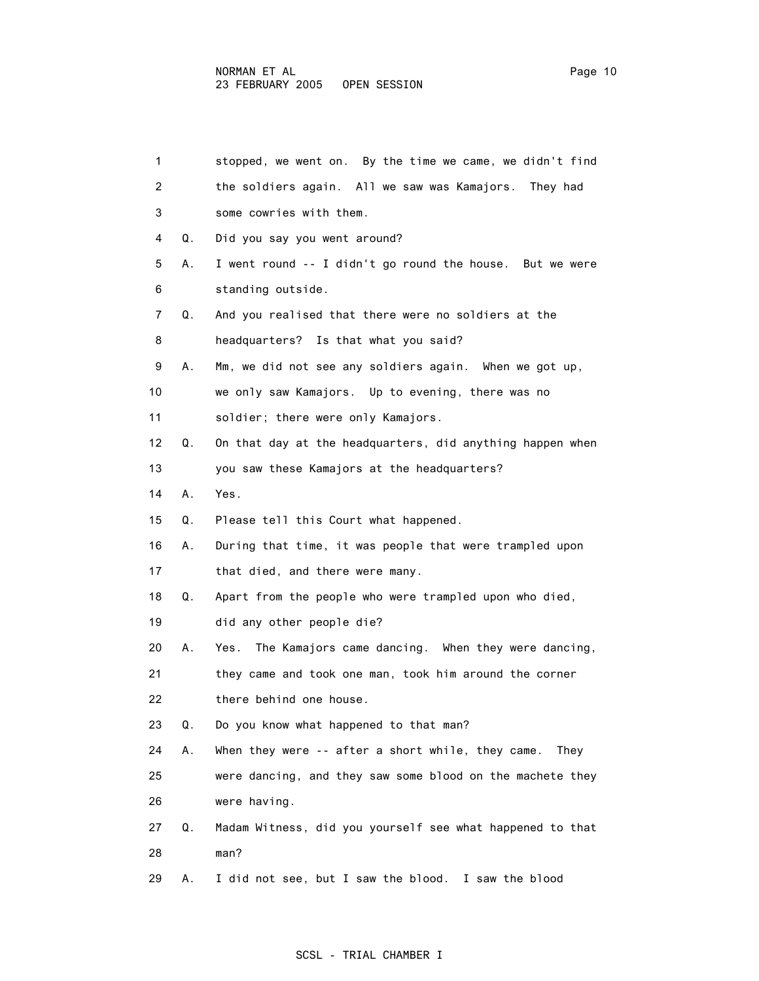| $\mathbf{1}$ |    | stopped, we went on. By the time we came, we didn't find  |
|--------------|----|-----------------------------------------------------------|
| 2            |    | the soldiers again. All we saw was Kamajors. They had     |
| 3            |    | some cowries with them.                                   |
| 4            | Q. | Did you say you went around?                              |
| 5            | А. | I went round -- I didn't go round the house. But we were  |
| 6            |    | standing outside.                                         |
| 7            | Q. | And you realised that there were no soldiers at the       |
| 8            |    | headquarters? Is that what you said?                      |
| 9            | А. | Mm, we did not see any soldiers again. When we got up,    |
| 10           |    | we only saw Kamajors. Up to evening, there was no         |
| 11           |    | soldier; there were only Kamajors.                        |
| 12           | Q. | On that day at the headquarters, did anything happen when |
| 13           |    | you saw these Kamajors at the headquarters?               |
| 14           | Α. | Yes.                                                      |
| 15           | Q. | Please tell this Court what happened.                     |
| 16           | А. | During that time, it was people that were trampled upon   |
| 17           |    | that died, and there were many.                           |
| 18           | Q. | Apart from the people who were trampled upon who died,    |
| 19           |    | did any other people die?                                 |
| 20           | А. | Yes. The Kamajors came dancing. When they were dancing,   |
| 21           |    | they came and took one man, took him around the corner    |
| 22           |    | there behind one house.                                   |
| 23           | Q. | Do you know what happened to that man?                    |
| 24           | А. | When they were -- after a short while, they came.<br>They |
| 25           |    | were dancing, and they saw some blood on the machete they |
| 26           |    | were having.                                              |
| 27           | Q. | Madam Witness, did you yourself see what happened to that |
| 28           |    | man?                                                      |
| 29           | А. | I did not see, but I saw the blood. I saw the blood       |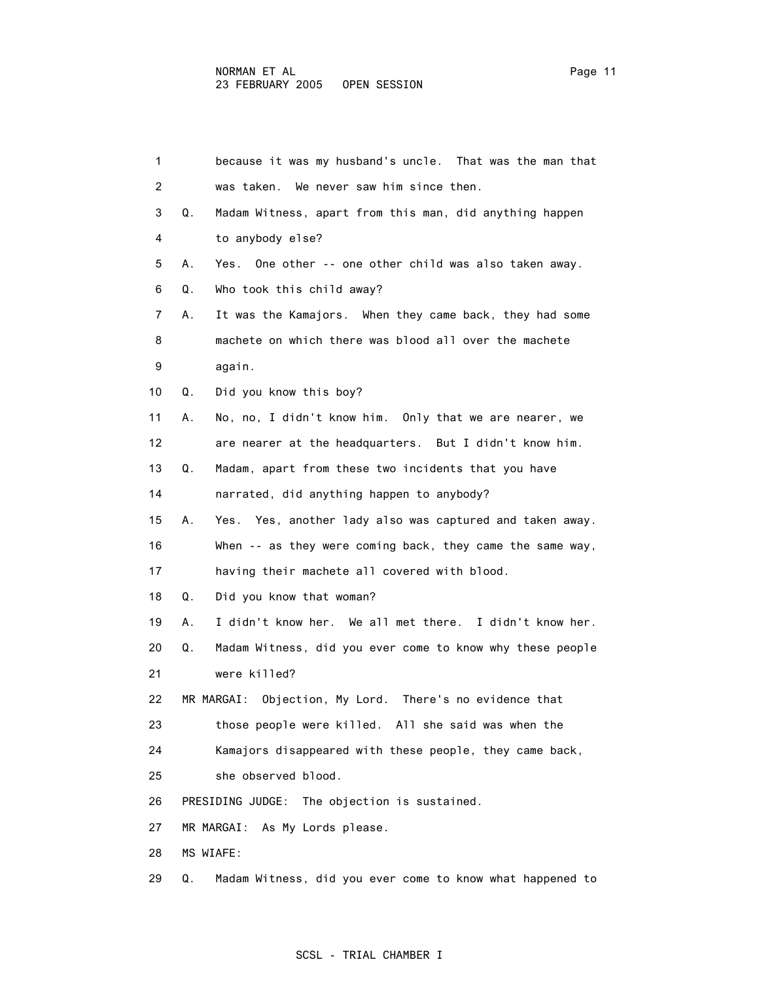| $\mathbf{1}$ | because it was my husband's uncle. That was the man that        |
|--------------|-----------------------------------------------------------------|
| 2            | was taken. We never saw him since then.                         |
| 3            | Q.<br>Madam Witness, apart from this man, did anything happen   |
| 4            | to anybody else?                                                |
| 5            | Yes. One other -- one other child was also taken away.<br>А.    |
| 6            | Who took this child away?<br>Q.                                 |
| 7            | It was the Kamajors. When they came back, they had some<br>А.   |
| 8            | machete on which there was blood all over the machete           |
| 9            | again.                                                          |
| 10           | Did you know this boy?<br>Q.                                    |
| 11           | No, no, I didn't know him. Only that we are nearer, we<br>А.    |
| 12           | are nearer at the headquarters. But I didn't know him.          |
| 13           | Q.<br>Madam, apart from these two incidents that you have       |
| 14           | narrated, did anything happen to anybody?                       |
| 15           | Yes. Yes, another lady also was captured and taken away.<br>А.  |
| 16           | When -- as they were coming back, they came the same way,       |
| 17           | having their machete all covered with blood.                    |
| 18           | Did you know that woman?<br>Q.                                  |
| 19           | I didn't know her. We all met there. I didn't know her.<br>А.   |
| 20           | Madam Witness, did you ever come to know why these people<br>Q. |
| 21           | were killed?                                                    |
| 22           | MR MARGAI: Objection, My Lord. There's no evidence that         |
| 23           | those people were killed. All she said was when the             |
| 24           | Kamajors disappeared with these people, they came back,         |
| 25           | she observed blood.                                             |
| 26           | PRESIDING JUDGE: The objection is sustained.                    |
| 27           | MR MARGAI: As My Lords please.                                  |
| 28           | MS WIAFE:                                                       |
| 29           | Madam Witness, did you ever come to know what happened to<br>Q. |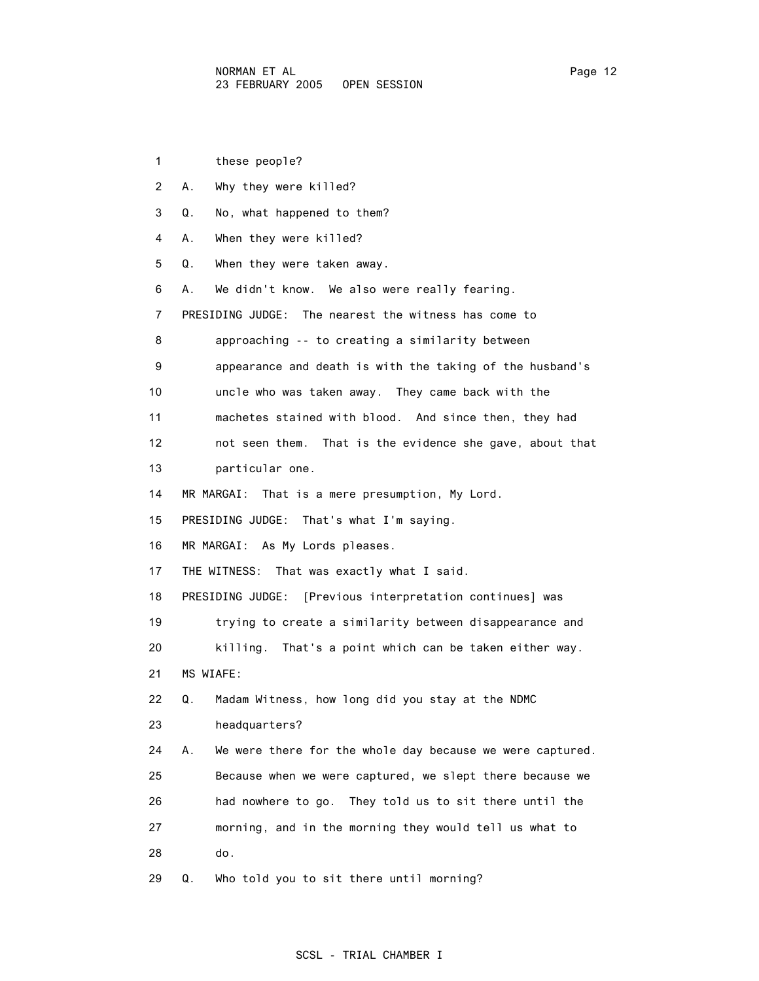1 these people? 2 A. Why they were killed? 3 Q. No, what happened to them? 4 A. When they were killed? 5 Q. When they were taken away. 6 A. We didn't know. We also were really fearing. 7 PRESIDING JUDGE: The nearest the witness has come to 8 approaching -- to creating a similarity between 9 appearance and death is with the taking of the husband's 10 uncle who was taken away. They came back with the 11 machetes stained with blood. And since then, they had 12 not seen them. That is the evidence she gave, about that 13 particular one. 14 MR MARGAI: That is a mere presumption, My Lord. 15 PRESIDING JUDGE: That's what I'm saying. 16 MR MARGAI: As My Lords pleases. 17 THE WITNESS: That was exactly what I said. 18 PRESIDING JUDGE: [Previous interpretation continues] was 19 trying to create a similarity between disappearance and 20 killing. That's a point which can be taken either way. 21 MS WIAFE: 22 Q. Madam Witness, how long did you stay at the NDMC 23 headquarters? 24 A. We were there for the whole day because we were captured. 25 Because when we were captured, we slept there because we 26 had nowhere to go. They told us to sit there until the 27 morning, and in the morning they would tell us what to 28 do. 29 Q. Who told you to sit there until morning?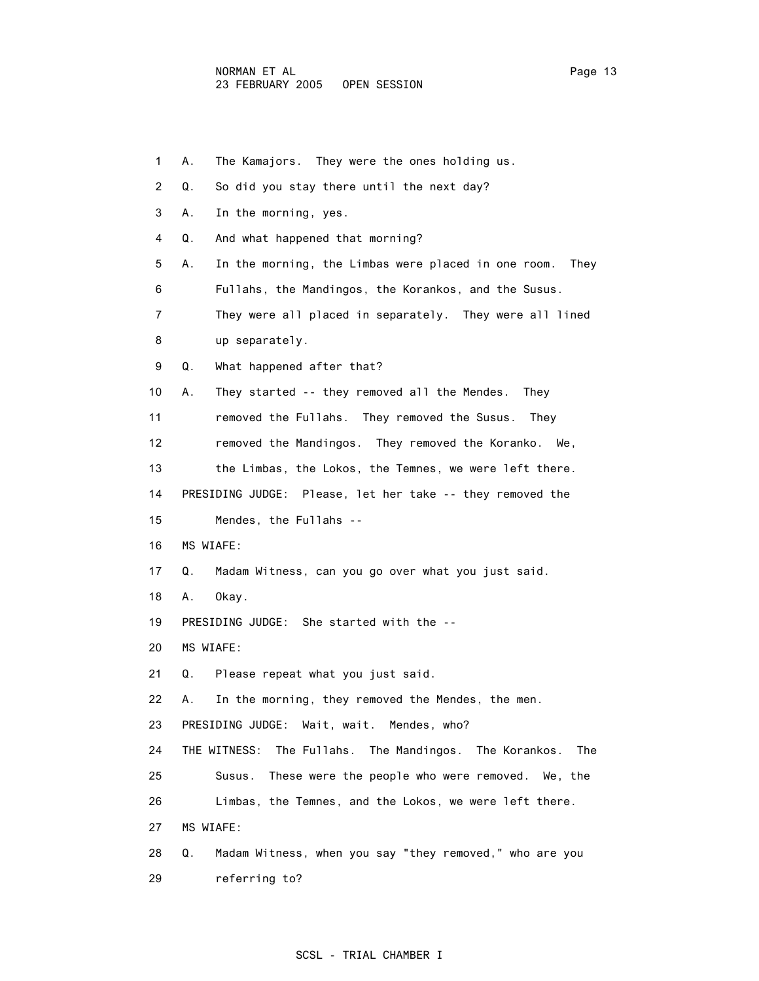| 1  | The Kamajors. They were the ones holding us.<br>А.                  |
|----|---------------------------------------------------------------------|
| 2  | Q.<br>So did you stay there until the next day?                     |
| 3  | In the morning, yes.<br>А.                                          |
| 4  | And what happened that morning?<br>Q.                               |
| 5  | In the morning, the Limbas were placed in one room.<br>А.<br>They   |
| 6  | Fullahs, the Mandingos, the Korankos, and the Susus.                |
| 7  | They were all placed in separately. They were all lined             |
| 8  | up separately.                                                      |
| 9  | What happened after that?<br>Q.                                     |
| 10 | They started -- they removed all the Mendes.<br>А.<br>Thev          |
| 11 | removed the Fullahs. They removed the Susus.<br>They                |
| 12 | removed the Mandingos. They removed the Koranko. We,                |
| 13 | the Limbas, the Lokos, the Temnes, we were left there.              |
| 14 | PRESIDING JUDGE: Please, let her take -- they removed the           |
| 15 | Mendes, the Fullahs --                                              |
| 16 | MS WIAFE:                                                           |
| 17 | Madam Witness, can you go over what you just said.<br>Q.            |
| 18 | Okay.<br>А.                                                         |
| 19 | PRESIDING JUDGE: She started with the --                            |
| 20 | MS WIAFE:                                                           |
| 21 | Please repeat what you just said.<br>Q.                             |
| 22 | In the morning, they removed the Mendes, the men.<br>А.             |
| 23 | PRESIDING JUDGE: Wait, wait. Mendes, who?                           |
| 24 | THE WITNESS:<br>The Fullahs.<br>The Mandingos. The Korankos.<br>The |
| 25 | These were the people who were removed. We, the<br>Susus.           |
| 26 | Limbas, the Temnes, and the Lokos, we were left there.              |
| 27 | MS WIAFE:                                                           |
| 28 | Madam Witness, when you say "they removed," who are you<br>Q.       |
| 29 | referring to?                                                       |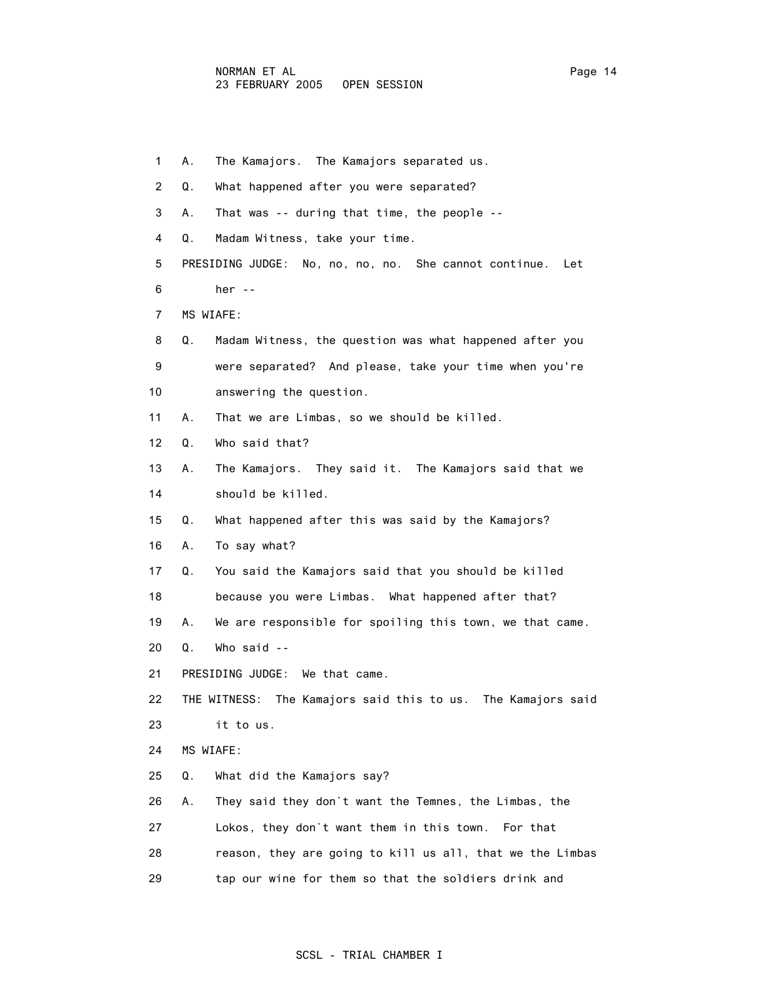| 1              | А. | The Kamajors. The Kamajors separated us.                     |
|----------------|----|--------------------------------------------------------------|
| $\overline{2}$ | Q. | What happened after you were separated?                      |
| 3              | А. | That was -- during that time, the people --                  |
| 4              | Q. | Madam Witness, take your time.                               |
| 5              |    | PRESIDING JUDGE: No, no, no, no. She cannot continue.<br>Let |
| 6              |    | her $-$                                                      |
| 7              |    | MS WIAFE:                                                    |
| 8              | Q. | Madam Witness, the question was what happened after you      |
| 9              |    | were separated? And please, take your time when you're       |
| 10             |    | answering the question.                                      |
| 11             | А. | That we are Limbas, so we should be killed.                  |
| 12             | Q. | Who said that?                                               |
| 13             | А. | The Kamajors. They said it. The Kamajors said that we        |
| 14             |    | should be killed.                                            |
| 15             | Q. | What happened after this was said by the Kamajors?           |
| 16             | А. | To say what?                                                 |
| 17             | Q. | You said the Kamajors said that you should be killed         |
| 18             |    | because you were Limbas. What happened after that?           |
| 19             | А. | We are responsible for spoiling this town, we that came.     |
| 20             | Q. | Who said --                                                  |
| 21             |    | PRESIDING JUDGE: We that came.                               |
| 22             |    | THE WITNESS: The Kamajors said this to us. The Kamajors said |
| 23             |    | it to us.                                                    |
| 24             |    | MS WIAFE:                                                    |
| 25             | Q. | What did the Kamajors say?                                   |
| 26             | А. | They said they don't want the Temnes, the Limbas, the        |
| 27             |    | Lokos, they don't want them in this town. For that           |
| 28             |    | reason, they are going to kill us all, that we the Limbas    |
| 29             |    | tap our wine for them so that the soldiers drink and         |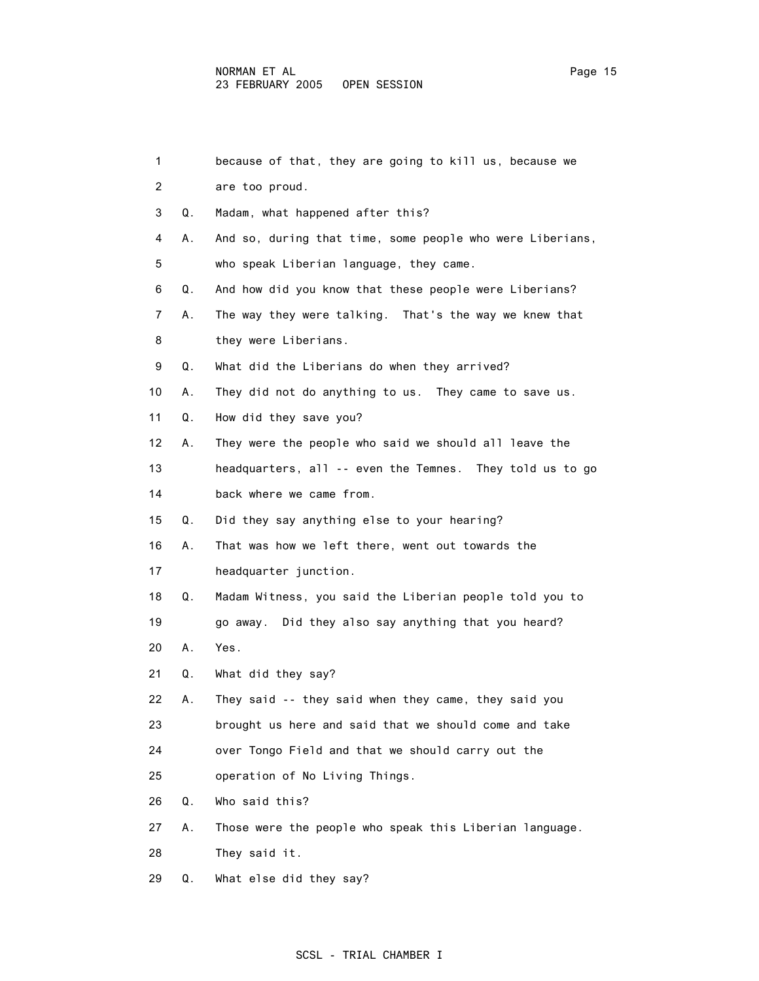| 1              |    | because of that, they are going to kill us, because we    |
|----------------|----|-----------------------------------------------------------|
| $\overline{2}$ |    | are too proud.                                            |
| 3              | Q. | Madam, what happened after this?                          |
| 4              | А. | And so, during that time, some people who were Liberians, |
| 5              |    | who speak Liberian language, they came.                   |
| 6              | Q. | And how did you know that these people were Liberians?    |
| 7              | А. | The way they were talking. That's the way we knew that    |
| 8              |    | they were Liberians.                                      |
| 9              | Q. | What did the Liberians do when they arrived?              |
| 10             | А. | They did not do anything to us. They came to save us.     |
| 11             | Q. | How did they save you?                                    |

- 12 A. They were the people who said we should all leave the
- 13 headquarters, all -- even the Temnes. They told us to go 14 back where we came from.
- 15 Q. Did they say anything else to your hearing?

16 A. That was how we left there, went out towards the

17 headquarter junction.

- 18 Q. Madam Witness, you said the Liberian people told you to 19 go away. Did they also say anything that you heard?
- 20 A. Yes.
- 21 Q. What did they say?
- 22 A. They said -- they said when they came, they said you 23 brought us here and said that we should come and take
- 24 over Tongo Field and that we should carry out the
- 25 operation of No Living Things.
- 26 Q. Who said this?
- 27 A. Those were the people who speak this Liberian language.
- 28 They said it.
- 29 Q. What else did they say?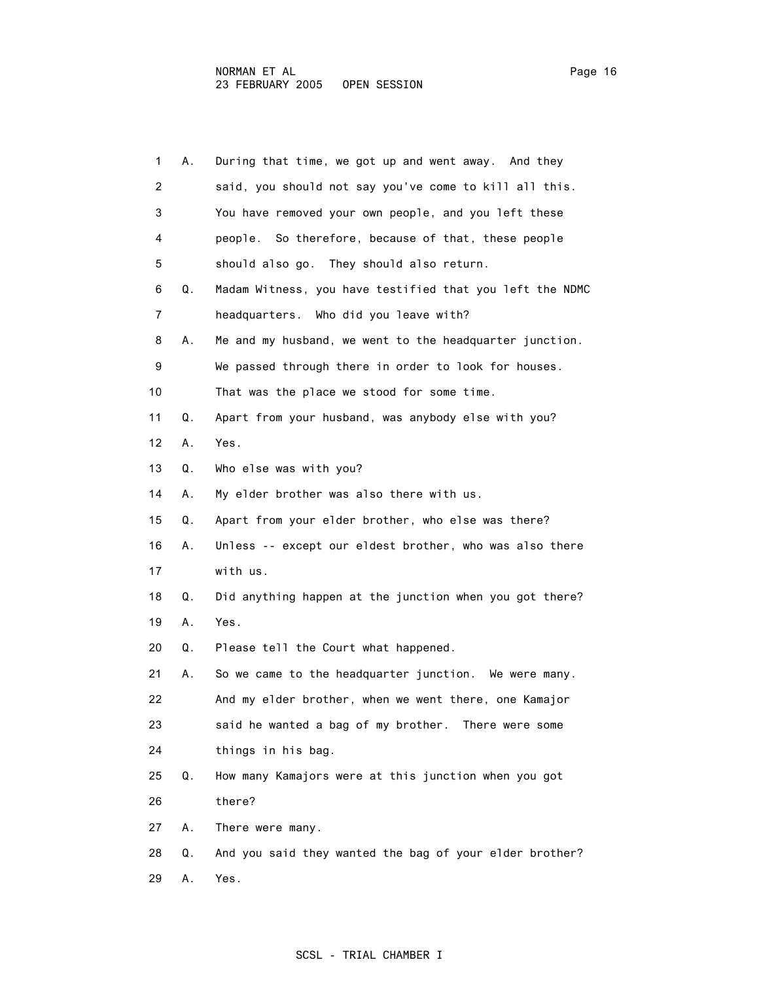| 1              | А. | During that time, we got up and went away. And they      |
|----------------|----|----------------------------------------------------------|
| $\overline{2}$ |    | said, you should not say you've come to kill all this.   |
| 3              |    | You have removed your own people, and you left these     |
| 4              |    | people. So therefore, because of that, these people      |
| 5              |    | should also go. They should also return.                 |
| 6              | Q. | Madam Witness, you have testified that you left the NDMC |
| 7              |    | headquarters. Who did you leave with?                    |
| 8              | А. | Me and my husband, we went to the headquarter junction.  |
| 9              |    | We passed through there in order to look for houses.     |
| 10             |    | That was the place we stood for some time.               |
| 11             | Q. | Apart from your husband, was anybody else with you?      |
| 12             | А. | Yes.                                                     |
| 13             | Q. | Who else was with you?                                   |
| 14             | А. | My elder brother was also there with us.                 |
| 15             | Q. | Apart from your elder brother, who else was there?       |
| 16             | А. | Unless -- except our eldest brother, who was also there  |
| 17             |    | with us.                                                 |
| 18             | Q. | Did anything happen at the junction when you got there?  |
| 19             | А. | Yes.                                                     |
| 20             | Q. | Please tell the Court what happened.                     |
| 21             | А. | So we came to the headquarter junction. We were many.    |
| 22             |    | And my elder brother, when we went there, one Kamaior    |
| 23             |    | said he wanted a bag of my brother. There were some      |
| 24             |    | things in his bag.                                       |
| 25             | Q. | How many Kamajors were at this junction when you got     |
| 26             |    | there?                                                   |
| 27             | Α. | There were many.                                         |
| 28             | Q. | And you said they wanted the bag of your elder brother?  |
| 29             | Α. | Yes.                                                     |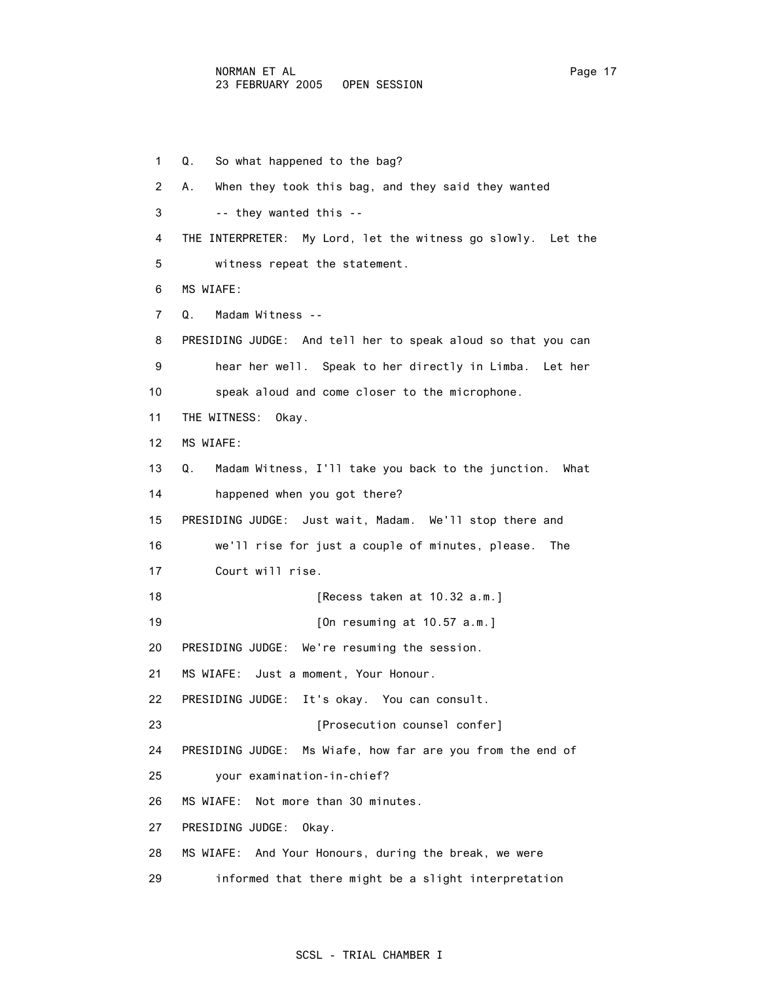1 Q. So what happened to the bag? 2 A. When they took this bag, and they said they wanted 3 -- they wanted this -- 4 THE INTERPRETER: My Lord, let the witness go slowly. Let the 5 witness repeat the statement. 6 MS WIAFE: 7 Q. Madam Witness -- 8 PRESIDING JUDGE: And tell her to speak aloud so that you can 9 hear her well. Speak to her directly in Limba. Let her 10 speak aloud and come closer to the microphone. 11 THE WITNESS: Okay. 12 MS WIAFE: 13 Q. Madam Witness, I'll take you back to the junction. What 14 happened when you got there? 15 PRESIDING JUDGE: Just wait, Madam. We'll stop there and 16 we'll rise for just a couple of minutes, please. The 17 Court will rise. 18 **[Recess taken at 10.32 a.m.]** 19 **[On resuming at 10.57 a.m.]**  20 PRESIDING JUDGE: We're resuming the session. 21 MS WIAFE: Just a moment, Your Honour. 22 PRESIDING JUDGE: It's okay. You can consult. 23 **Example 23** [Prosecution counsel confer] 24 PRESIDING JUDGE: Ms Wiafe, how far are you from the end of 25 your examination-in-chief? 26 MS WIAFE: Not more than 30 minutes. 27 PRESIDING JUDGE: Okay. 28 MS WIAFE: And Your Honours, during the break, we were 29 informed that there might be a slight interpretation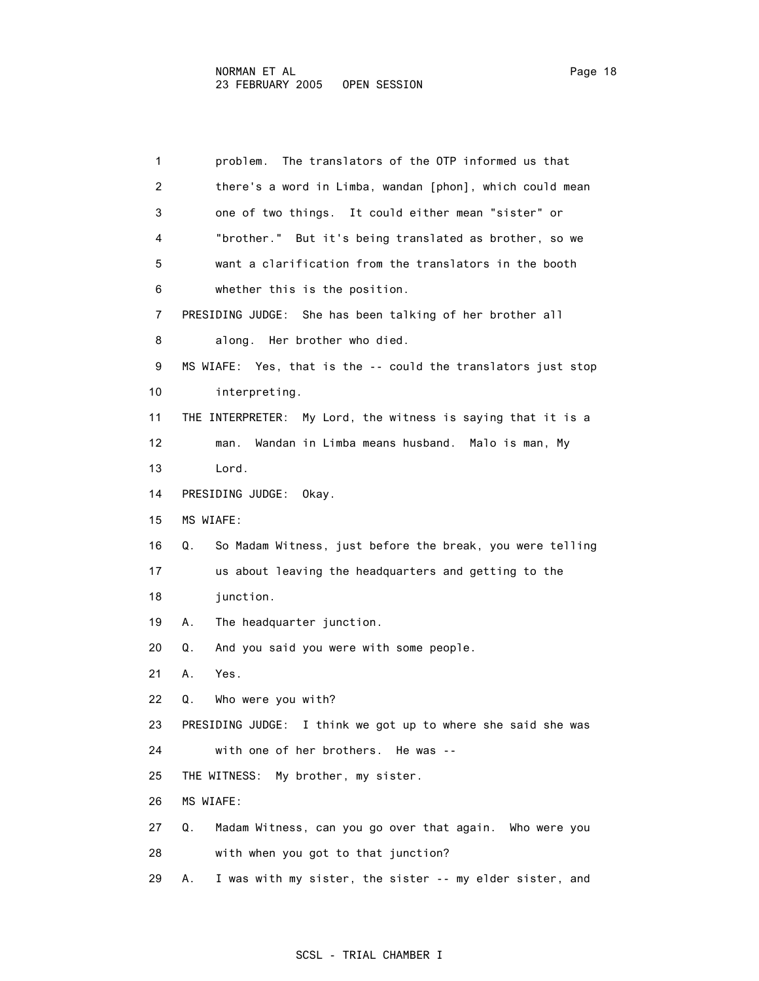| 1                 | The translators of the OTP informed us that<br>problem.         |
|-------------------|-----------------------------------------------------------------|
| $\overline{2}$    | there's a word in Limba, wandan [phon], which could mean        |
| 3                 | one of two things. It could either mean "sister" or             |
| 4                 | "brother." But it's being translated as brother, so we          |
| 5                 | want a clarification from the translators in the booth          |
| 6                 | whether this is the position.                                   |
| 7                 | PRESIDING JUDGE: She has been talking of her brother all        |
| 8                 | along. Her brother who died.                                    |
| 9                 | MS WIAFE: Yes, that is the -- could the translators just stop   |
| 10                | interpreting.                                                   |
| 11                | THE INTERPRETER: My Lord, the witness is saying that it is a    |
| $12 \overline{ }$ | Wandan in Limba means husband. Malo is man, My<br>man.          |
| 13                | Lord.                                                           |
| 14                | PRESIDING JUDGE:<br>Okay.                                       |
| 15                | MS WIAFE:                                                       |
| 16                | So Madam Witness, just before the break, you were telling<br>Q. |
| 17                | us about leaving the headquarters and getting to the            |
| 18                | junction.                                                       |
| 19                | The headquarter junction.<br>А.                                 |
| 20                | And you said you were with some people.<br>Q.                   |
| 21                | Yes.<br>А.                                                      |
| 22                | Q.<br>Who were you with?                                        |
| 23                | PRESIDING JUDGE: I think we got up to where she said she was    |
| 24                | with one of her brothers. He was --                             |
| 25                | My brother, my sister.<br>THE WITNESS:                          |
| 26                | MS WIAFE:                                                       |
| 27                | Madam Witness, can you go over that again. Who were you<br>Q.   |

28 with when you got to that junction?

29 A. I was with my sister, the sister -- my elder sister, and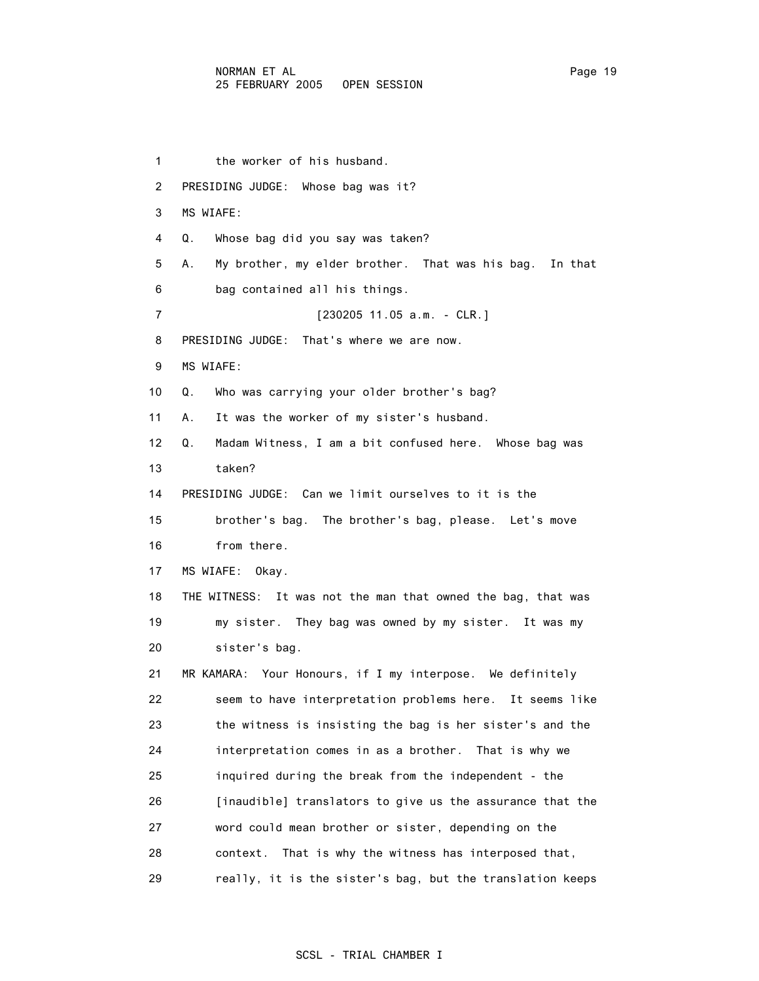1 the worker of his husband. 2 PRESIDING JUDGE: Whose bag was it? 3 MS WIAFE: 4 Q. Whose bag did you say was taken? 5 A. My brother, my elder brother. That was his bag. In that 6 bag contained all his things. 7 [230205 11.05 a.m. - CLR.] 8 PRESIDING JUDGE: That's where we are now. 9 MS WIAFE: 10 Q. Who was carrying your older brother's bag? 11 A. It was the worker of my sister's husband. 12 Q. Madam Witness, I am a bit confused here. Whose bag was 13 taken? 14 PRESIDING JUDGE: Can we limit ourselves to it is the 15 brother's bag. The brother's bag, please. Let's move 16 from there. 17 MS WIAFE: Okay. 18 THE WITNESS: It was not the man that owned the bag, that was 19 my sister. They bag was owned by my sister. It was my 20 sister's bag. 21 MR KAMARA: Your Honours, if I my interpose. We definitely 22 seem to have interpretation problems here. It seems like 23 the witness is insisting the bag is her sister's and the 24 interpretation comes in as a brother. That is why we 25 inquired during the break from the independent - the 26 [inaudible] translators to give us the assurance that the 27 word could mean brother or sister, depending on the 28 context. That is why the witness has interposed that, 29 really, it is the sister's bag, but the translation keeps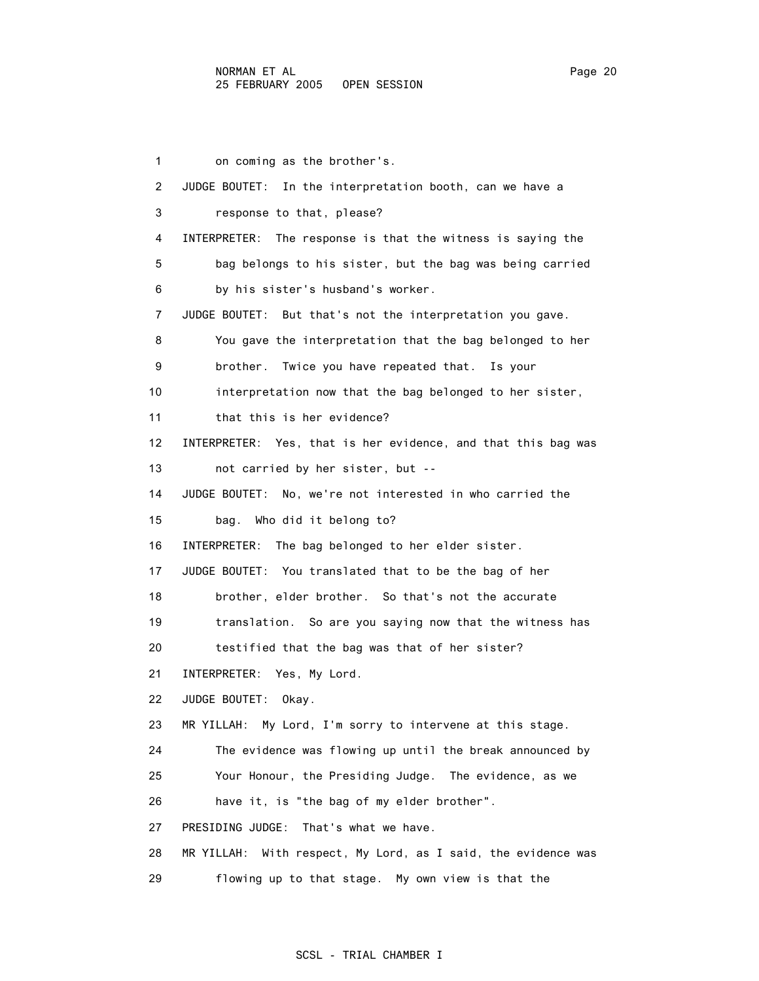1 on coming as the brother's. 2 JUDGE BOUTET: In the interpretation booth, can we have a 3 response to that, please? 4 INTERPRETER: The response is that the witness is saying the 5 bag belongs to his sister, but the bag was being carried 6 by his sister's husband's worker. 7 JUDGE BOUTET: But that's not the interpretation you gave. 8 You gave the interpretation that the bag belonged to her 9 brother. Twice you have repeated that. Is your 10 interpretation now that the bag belonged to her sister, 11 that this is her evidence? 12 INTERPRETER: Yes, that is her evidence, and that this bag was 13 not carried by her sister, but -- 14 JUDGE BOUTET: No, we're not interested in who carried the 15 bag. Who did it belong to? 16 INTERPRETER: The bag belonged to her elder sister. 17 JUDGE BOUTET: You translated that to be the bag of her 18 brother, elder brother. So that's not the accurate 19 translation. So are you saying now that the witness has 20 testified that the bag was that of her sister? 21 INTERPRETER: Yes, My Lord. 22 JUDGE BOUTET: Okay. 23 MR YILLAH: My Lord, I'm sorry to intervene at this stage. 24 The evidence was flowing up until the break announced by 25 Your Honour, the Presiding Judge. The evidence, as we 26 have it, is "the bag of my elder brother". 27 PRESIDING JUDGE: That's what we have. 28 MR YILLAH: With respect, My Lord, as I said, the evidence was

29 flowing up to that stage. My own view is that the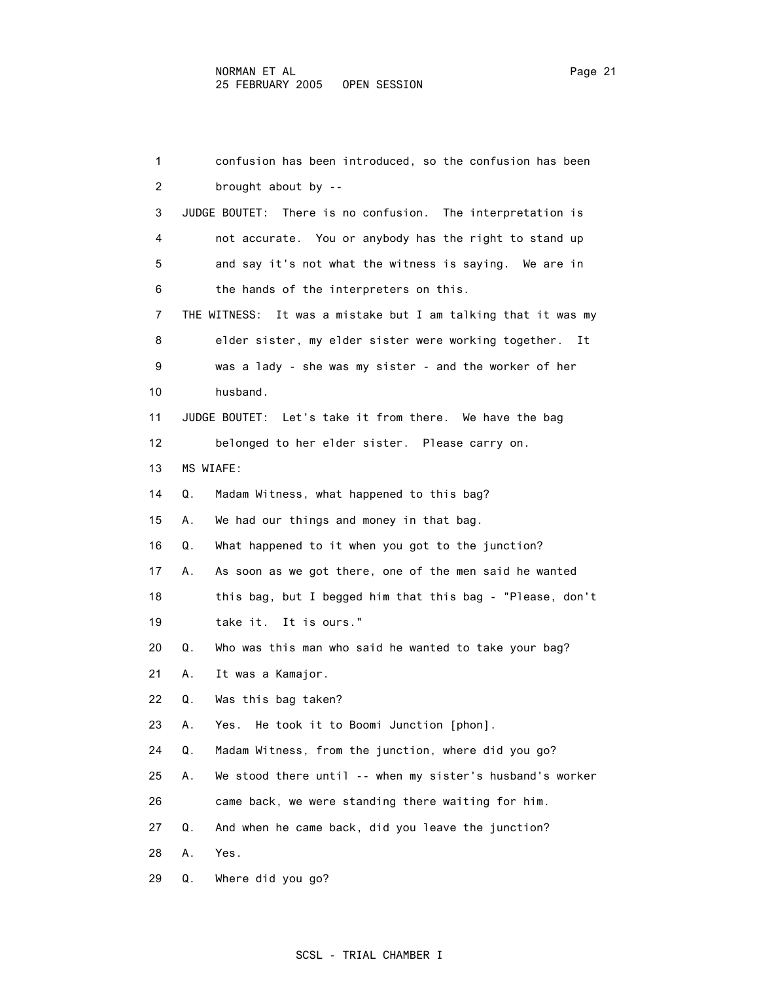1 confusion has been introduced, so the confusion has been 2 brought about by -- 3 JUDGE BOUTET: There is no confusion. The interpretation is 4 not accurate. You or anybody has the right to stand up 5 and say it's not what the witness is saying. We are in 6 the hands of the interpreters on this. 7 THE WITNESS: It was a mistake but I am talking that it was my 8 elder sister, my elder sister were working together. It 9 was a lady - she was my sister - and the worker of her 10 husband. 11 JUDGE BOUTET: Let's take it from there. We have the bag 12 belonged to her elder sister. Please carry on. 13 MS WIAFE: 14 Q. Madam Witness, what happened to this bag? 15 A. We had our things and money in that bag. 16 Q. What happened to it when you got to the junction? 17 A. As soon as we got there, one of the men said he wanted 18 this bag, but I begged him that this bag - "Please, don't 19 take it. It is ours." 20 Q. Who was this man who said he wanted to take your bag? 21 A. It was a Kamajor. 22 Q. Was this bag taken? 23 A. Yes. He took it to Boomi Junction [phon]. 24 Q. Madam Witness, from the junction, where did you go? 25 A. We stood there until -- when my sister's husband's worker 26 came back, we were standing there waiting for him. 27 Q. And when he came back, did you leave the junction? 28 A. Yes. 29 Q. Where did you go?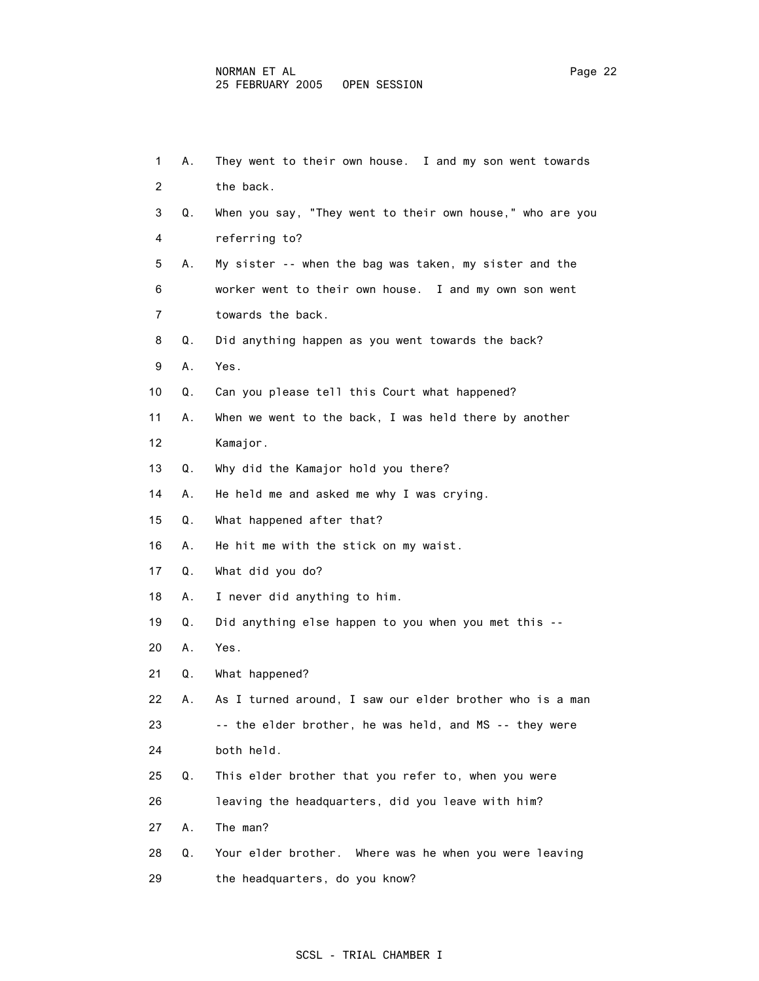| 1              | А. | They went to their own house. I and my son went towards   |
|----------------|----|-----------------------------------------------------------|
| $\overline{2}$ |    | the back.                                                 |
| 3              | Q. | When you say, "They went to their own house," who are you |
| 4              |    | referring to?                                             |
| 5              | А. | My sister -- when the bag was taken, my sister and the    |
| 6              |    | worker went to their own house. I and my own son went     |
| 7              |    | towards the back.                                         |
| 8              | Q. | Did anything happen as you went towards the back?         |
| 9              | Α. | Yes.                                                      |
| 10             | Q. | Can you please tell this Court what happened?             |
| 11             | А. | When we went to the back, I was held there by another     |
| 12             |    | Kamajor.                                                  |
| 13             | Q. | Why did the Kamajor hold you there?                       |
| 14             | А. | He held me and asked me why I was crying.                 |
| 15             | Q. | What happened after that?                                 |
| 16             | А. | He hit me with the stick on my waist.                     |
| 17             | Q. | What did you do?                                          |
| 18             | Α. | I never did anything to him.                              |
| 19             | Q. | Did anything else happen to you when you met this --      |
| 20             | Α. | Yes.                                                      |
| 21             | Q. | What happened?                                            |
| 22             | А. | As I turned around, I saw our elder brother who is a man  |
| 23             |    | -- the elder brother, he was held, and MS -- they were    |
| 24             |    | both held.                                                |
| 25             | Q. | This elder brother that you refer to, when you were       |
| 26             |    | leaving the headquarters, did you leave with him?         |
| 27             | Α. | The man?                                                  |
| 28             | Q. | Your elder brother. Where was he when you were leaving    |
| 29             |    | the headquarters, do you know?                            |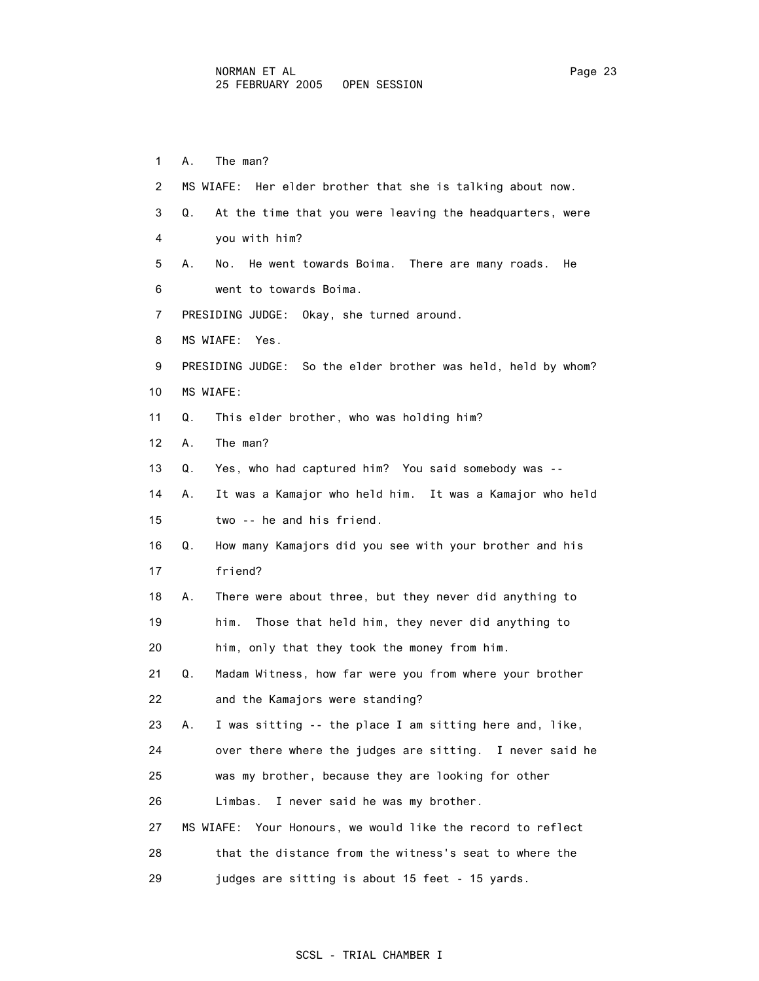1 A. The man? 2 MS WIAFE: Her elder brother that she is talking about now. 3 Q. At the time that you were leaving the headquarters, were 4 you with him? 5 A. No. He went towards Boima. There are many roads. He 6 went to towards Boima. 7 PRESIDING JUDGE: Okay, she turned around. 8 MS WIAFE: Yes. 9 PRESIDING JUDGE: So the elder brother was held, held by whom? 10 MS WIAFE: 11 Q. This elder brother, who was holding him? 12 A. The man? 13 Q. Yes, who had captured him? You said somebody was -- 14 A. It was a Kamajor who held him. It was a Kamajor who held 15 two -- he and his friend. 16 Q. How many Kamajors did you see with your brother and his 17 friend? 18 A. There were about three, but they never did anything to 19 him. Those that held him, they never did anything to 20 him, only that they took the money from him. 21 Q. Madam Witness, how far were you from where your brother 22 and the Kamajors were standing? 23 A. I was sitting -- the place I am sitting here and, like, 24 over there where the judges are sitting. I never said he 25 was my brother, because they are looking for other 26 Limbas. I never said he was my brother. 27 MS WIAFE: Your Honours, we would like the record to reflect 28 that the distance from the witness's seat to where the 29 judges are sitting is about 15 feet - 15 yards.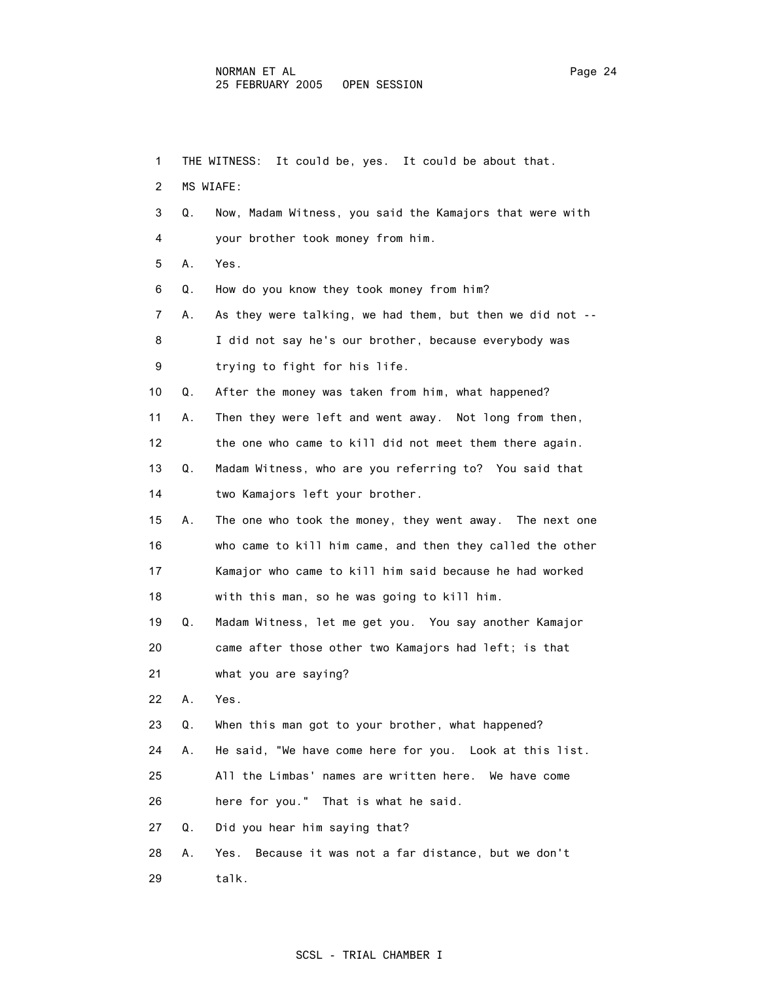| 1  |    | THE WITNESS:<br>It could be, yes. It could be about that. |
|----|----|-----------------------------------------------------------|
| 2  |    | MS WIAFE:                                                 |
| 3  | Q. | Now, Madam Witness, you said the Kamajors that were with  |
| 4  |    | your brother took money from him.                         |
| 5  | Α. | Yes.                                                      |
| 6  | Q. | How do you know they took money from him?                 |
| 7  | А. | As they were talking, we had them, but then we did not -- |
| 8  |    | I did not say he's our brother, because everybody was     |
| 9  |    | trying to fight for his life.                             |
| 10 | Q. | After the money was taken from him, what happened?        |
| 11 | А. | Then they were left and went away. Not long from then,    |
| 12 |    | the one who came to kill did not meet them there again.   |
| 13 | Q. | Madam Witness, who are you referring to? You said that    |
| 14 |    | two Kamajors left your brother.                           |
| 15 | А. | The one who took the money, they went away. The next one  |
| 16 |    | who came to kill him came, and then they called the other |
| 17 |    | Kamajor who came to kill him said because he had worked   |
| 18 |    | with this man, so he was going to kill him.               |
| 19 | Q. | Madam Witness, let me get you. You say another Kamajor    |
| 20 |    | came after those other two Kamajors had left; is that     |
| 21 |    | what you are saying?                                      |
| 22 | Α. | Yes.                                                      |
| 23 | Q. | When this man got to your brother, what happened?         |
| 24 | А. | He said, "We have come here for you. Look at this list.   |
| 25 |    | All the Limbas' names are written here. We have come      |
| 26 |    | here for you." That is what he said.                      |
| 27 | Q. | Did you hear him saying that?                             |
| 28 | А. | Because it was not a far distance, but we don't<br>Yes.   |
| 29 |    | talk.                                                     |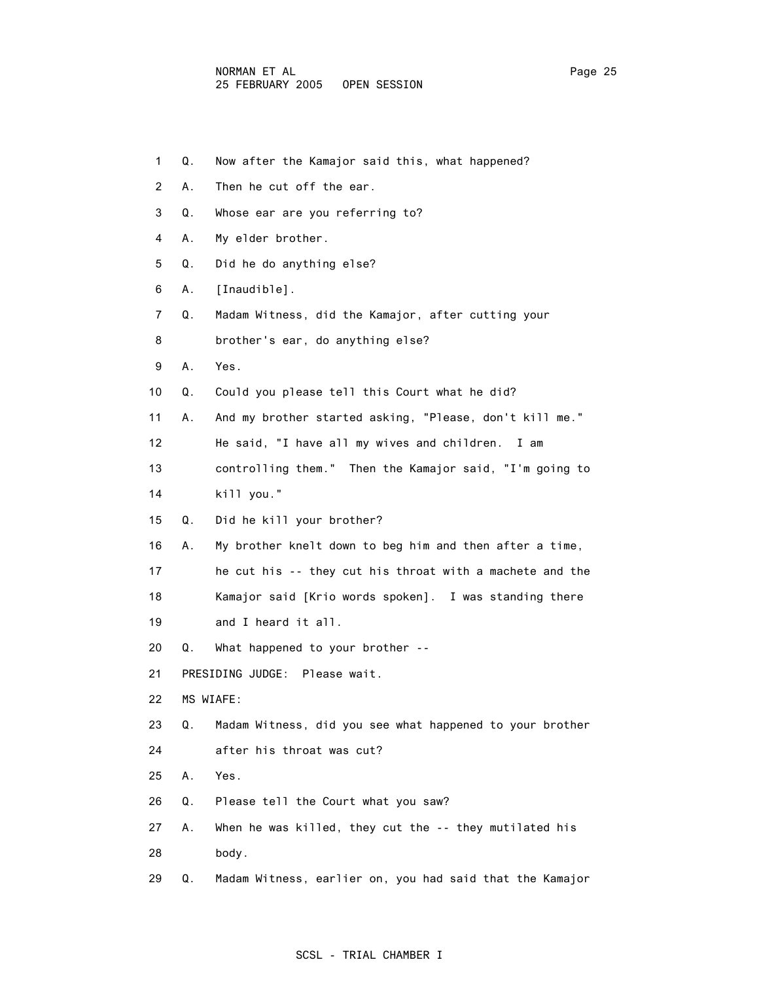| $\mathbf 1$    | Q. | Now after the Kamajor said this, what happened?          |
|----------------|----|----------------------------------------------------------|
| $\overline{2}$ | Α. | Then he cut off the ear.                                 |
| 3              | Q. | Whose ear are you referring to?                          |
| 4              | А. | My elder brother.                                        |
| 5              | Q. | Did he do anything else?                                 |
| 6              | А. | [Inaudible].                                             |
| 7              | Q. | Madam Witness, did the Kamajor, after cutting your       |
| 8              |    | brother's ear, do anything else?                         |
| 9              | А. | Yes.                                                     |
| 10             | Q. | Could you please tell this Court what he did?            |
| 11             | А. | And my brother started asking, "Please, don't kill me."  |
| 12             |    | He said, "I have all my wives and children. I am         |
| 13             |    | controlling them." Then the Kamajor said, "I'm going to  |
| 14             |    | kill you."                                               |
| 15             | Q. | Did he kill your brother?                                |
| 16             | А. | My brother knelt down to beg him and then after a time,  |
| 17             |    | he cut his -- they cut his throat with a machete and the |
| 18             |    | Kamajor said [Krio words spoken]. I was standing there   |
| 19             |    | and I heard it all.                                      |
| 20             | Q. | What happened to your brother --                         |
| 21             |    | PRESIDING JUDGE: Please wait.                            |
| 22             |    | MS WIAFE:                                                |
| 23             | Q. | Madam Witness, did you see what happened to your brother |
| 24             |    | after his throat was cut?                                |
| 25             | Α. | Yes.                                                     |
| 26             | Q. | Please tell the Court what you saw?                      |
| 27             | А. | When he was killed, they cut the -- they mutilated his   |
| 28             |    | body.                                                    |
| 29             | Q. | Madam Witness, earlier on, you had said that the Kamajor |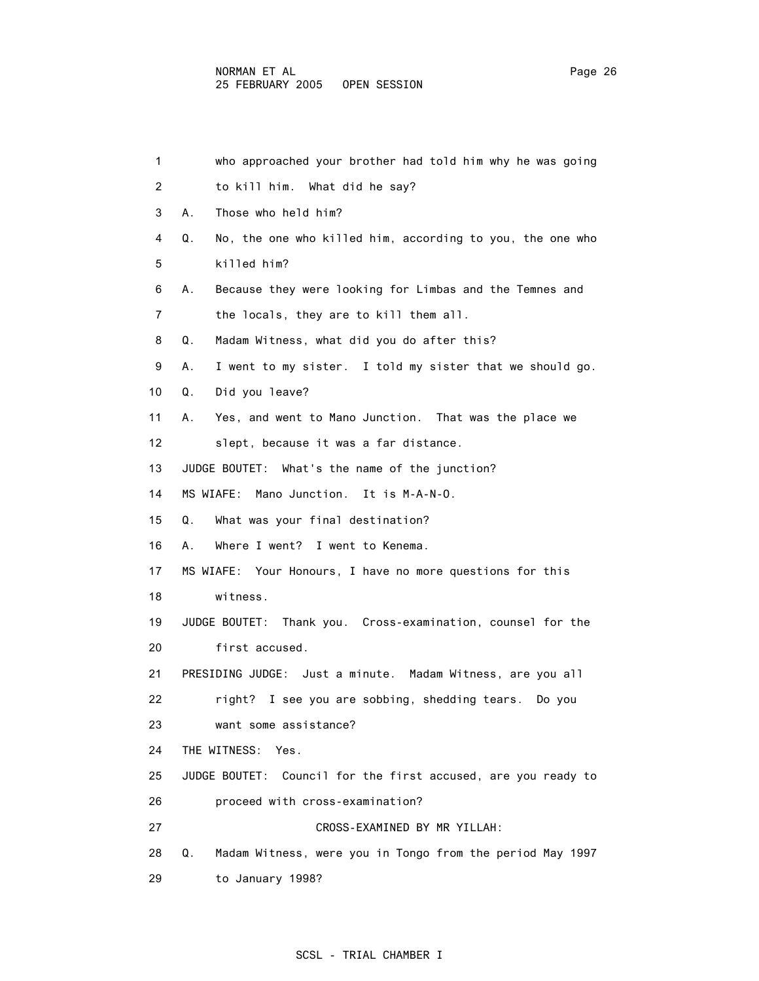| $\mathbf{1}$ | who approached your brother had told him why he was going       |
|--------------|-----------------------------------------------------------------|
| 2            | to kill him. What did he say?                                   |
| 3            | Those who held him?<br>А.                                       |
| 4            | No, the one who killed him, according to you, the one who<br>Q. |
| 5            | killed him?                                                     |
| 6            | Because they were looking for Limbas and the Temnes and<br>А.   |
| 7            | the locals, they are to kill them all.                          |
| 8            | Madam Witness, what did you do after this?<br>Q.                |
| 9            | I went to my sister. I told my sister that we should go.<br>А.  |
| 10           | Did you leave?<br>Q.                                            |
| 11           | Yes, and went to Mano Junction. That was the place we<br>А.     |
| 12           | slept, because it was a far distance.                           |
| 13           | JUDGE BOUTET: What's the name of the junction?                  |
| 14           | MS WIAFE: Mano Junction. It is M-A-N-O.                         |
| 15           | What was your final destination?<br>Q.                          |
| 16           | Where I went? I went to Kenema.<br>А.                           |
| 17           | MS WIAFE: Your Honours, I have no more questions for this       |
| 18           | witness.                                                        |
| 19           | JUDGE BOUTET: Thank you. Cross-examination, counsel for the     |
| 20           | first accused.                                                  |
| 21           | PRESIDING JUDGE: Just a minute. Madam Witness, are you all      |
| 22           | right? I see you are sobbing, shedding tears.  Do you           |
| 23           | want some assistance?                                           |
| 24           | THE WITNESS:<br>Yes.                                            |
| 25           | JUDGE BOUTET: Council for the first accused, are you ready to   |
| 26           | proceed with cross-examination?                                 |
| 27           | CROSS-EXAMINED BY MR YILLAH:                                    |
| 28           | Madam Witness, were you in Tongo from the period May 1997<br>Q. |
| 29           | to January 1998?                                                |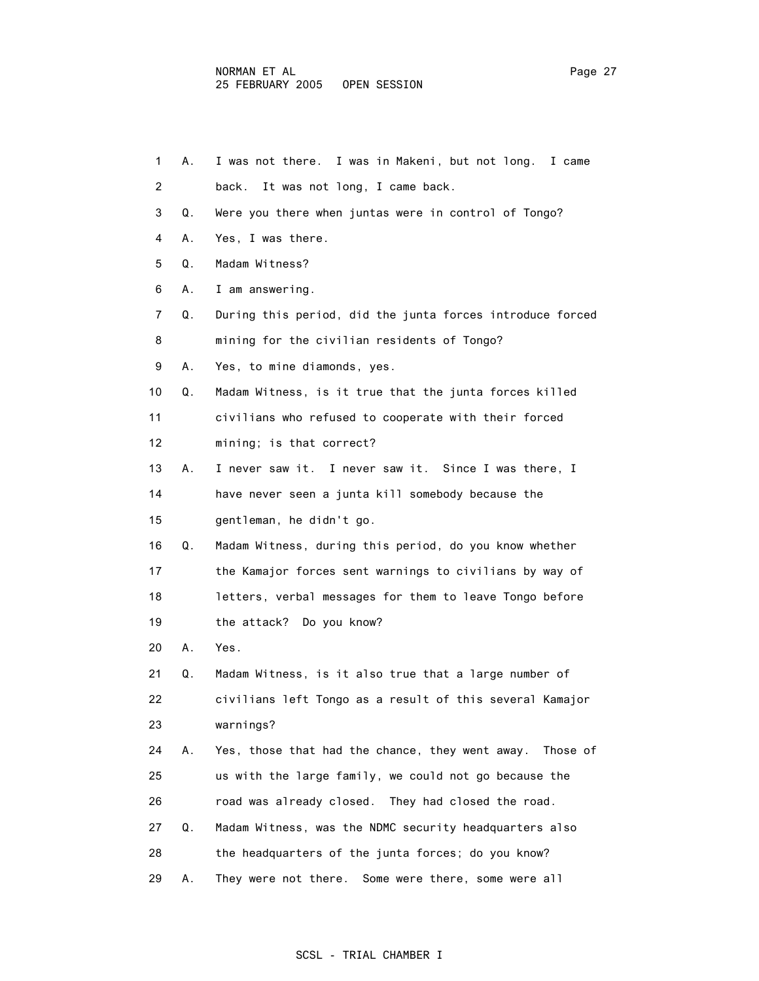| 1              | А. | I was not there. I was in Makeni, but not long. I came      |
|----------------|----|-------------------------------------------------------------|
| $\overline{2}$ |    | It was not long, I came back.<br>back.                      |
| 3              | Q. | Were you there when juntas were in control of Tongo?        |
| 4              | А. | Yes, I was there.                                           |
| 5              | Q. | Madam Witness?                                              |
| 6              | А. | I am answering.                                             |
| 7              | Q. | During this period, did the junta forces introduce forced   |
| 8              |    | mining for the civilian residents of Tongo?                 |
| 9              | А. | Yes, to mine diamonds, yes.                                 |
| 10             | Q. | Madam Witness, is it true that the junta forces killed      |
| 11             |    | civilians who refused to cooperate with their forced        |
| 12             |    | mining; is that correct?                                    |
| 13             | А. | I never saw it. I never saw it. Since I was there, I        |
| 14             |    | have never seen a junta kill somebody because the           |
| 15             |    | gentleman, he didn't go.                                    |
| 16             | Q. | Madam Witness, during this period, do you know whether      |
| 17             |    | the Kamajor forces sent warnings to civilians by way of     |
| 18             |    | letters, verbal messages for them to leave Tongo before     |
| 19             |    | the attack? Do you know?                                    |
| 20             | А. | Yes.                                                        |
| 21             | Q. | Madam Witness, is it also true that a large number of       |
| 22             |    | civilians left Tongo as a result of this several Kamajor    |
| 23             |    | warnings?                                                   |
| 24             | А. | Yes, those that had the chance, they went away.<br>Those of |
| 25             |    | us with the large family, we could not go because the       |
| 26             |    | road was already closed. They had closed the road.          |
| 27             | Q. | Madam Witness, was the NDMC security headquarters also      |
| 28             |    | the headquarters of the junta forces; do you know?          |
| 29             | Α. | They were not there. Some were there, some were all         |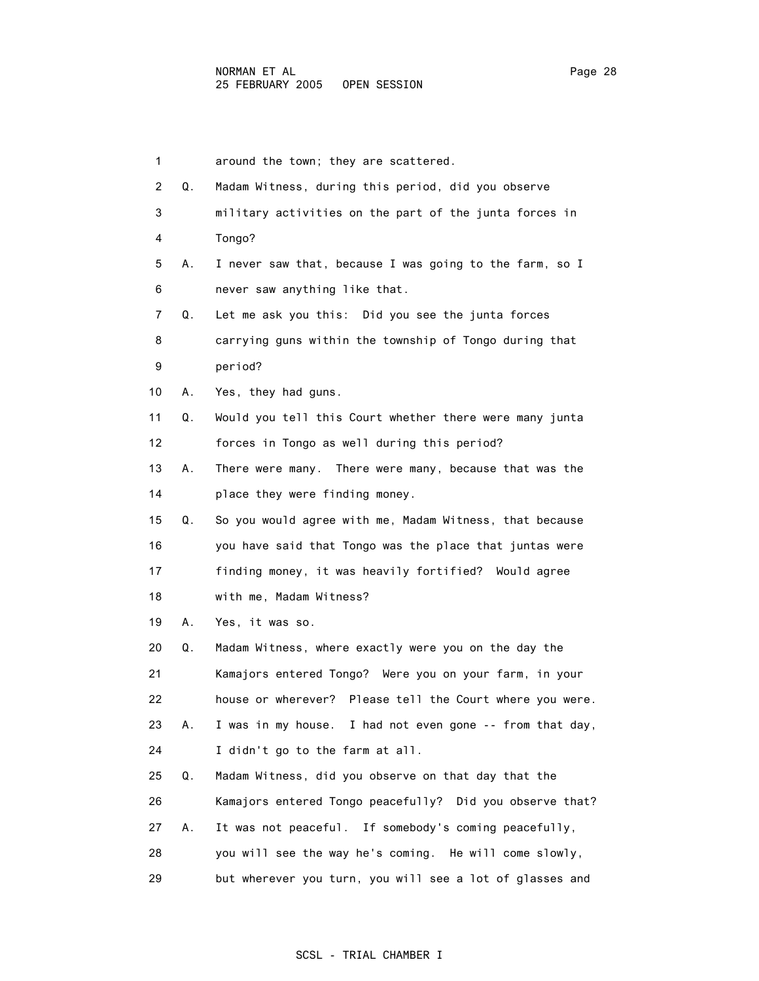|    | 1        | around the town; they are scattered.                     |
|----|----------|----------------------------------------------------------|
|    | 2<br>Q.  | Madam Witness, during this period, did you observe       |
|    | 3        | military activities on the part of the junta forces in   |
|    | 4        | Tongo?                                                   |
|    | 5<br>А.  | I never saw that, because I was going to the farm, so I  |
|    | 6        | never saw anything like that.                            |
|    | 7<br>Q.  | Let me ask you this: Did you see the junta forces        |
|    | 8        | carrying guns within the township of Tongo during that   |
|    | 9        | period?                                                  |
|    | 10<br>А. | Yes, they had guns.                                      |
| 11 | Q.       | Would you tell this Court whether there were many junta  |
|    | 12       | forces in Tongo as well during this period?              |
|    | 13<br>А. | There were many. There were many, because that was the   |
| 14 |          | place they were finding money.                           |
|    | 15<br>Q. | So you would agree with me, Madam Witness, that because  |
|    | 16       | you have said that Tongo was the place that juntas were  |
|    | 17       | finding money, it was heavily fortified? Would agree     |
|    | 18       | with me, Madam Witness?                                  |
|    | 19<br>А. | Yes, it was so.                                          |
| 20 | Q.       | Madam Witness, where exactly were you on the day the     |
| 21 |          | Kamajors entered Tongo? Were you on your farm, in your   |
|    | 22       | house or wherever? Please tell the Court where you were. |
| 23 | А.       | I was in my house. I had not even gone -- from that day, |
| 24 |          | I didn't go to the farm at all.                          |
| 25 | Q.       | Madam Witness, did you observe on that day that the      |
| 26 |          | Kamajors entered Tongo peacefully? Did you observe that? |
| 27 | А.       | It was not peaceful. If somebody's coming peacefully,    |
| 28 |          | you will see the way he's coming. He will come slowly,   |

# 29 but wherever you turn, you will see a lot of glasses and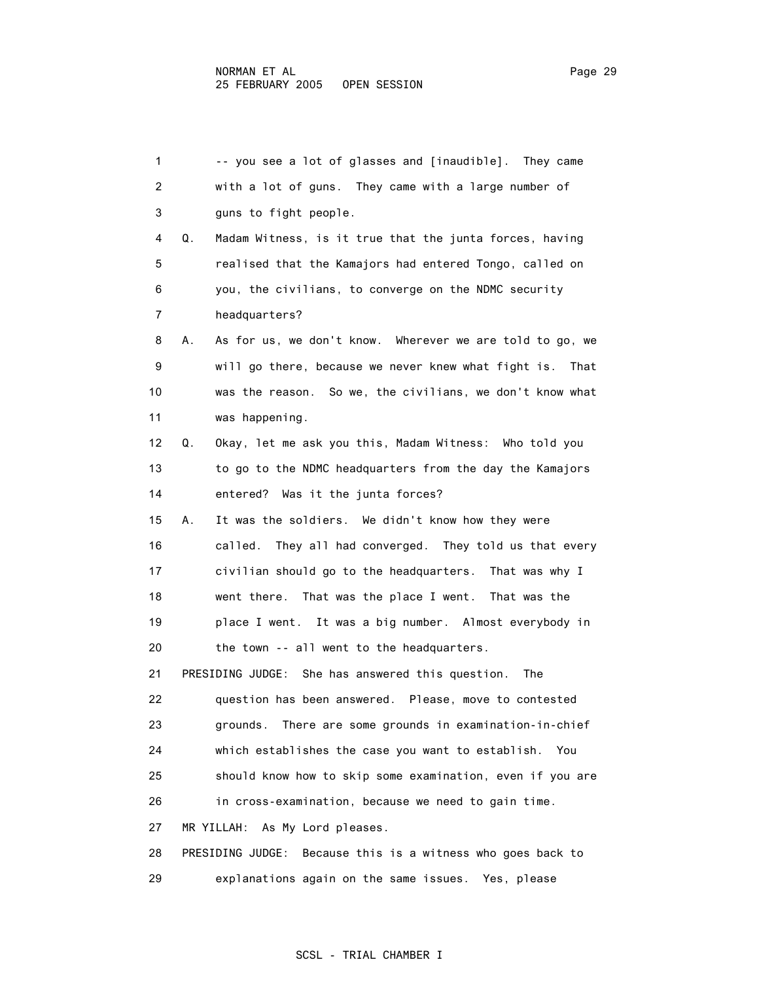| 1              | -- you see a lot of glasses and [inaudible]. They came         |
|----------------|----------------------------------------------------------------|
| $\overline{2}$ | with a lot of guns. They came with a large number of           |
| 3              | guns to fight people.                                          |
| 4              | Madam Witness, is it true that the junta forces, having<br>Q.  |
| 5              | realised that the Kamajors had entered Tongo, called on        |
| 6              | you, the civilians, to converge on the NDMC security           |
| 7              | headquarters?                                                  |
| 8              | As for us, we don't know. Wherever we are told to go, we<br>А. |
| 9              | will go there, because we never knew what fight is.<br>That    |
| 10             | was the reason. So we, the civilians, we don't know what       |
| 11             | was happening.                                                 |
| 12             | Okay, let me ask you this, Madam Witness: Who told you<br>Q.   |
| 13             | to go to the NDMC headquarters from the day the Kamajors       |
| 14             | entered? Was it the junta forces?                              |
| 15             | It was the soldiers. We didn't know how they were<br>А.        |
| 16             | They all had converged. They told us that every<br>called.     |
| 17             | civilian should go to the headquarters. That was why I         |
| 18             | went there. That was the place I went. That was the            |
| 19             | place I went. It was a big number. Almost everybody in         |
| 20             | the town -- all went to the headquarters.                      |
| 21             | PRESIDING JUDGE: She has answered this question.<br>The        |
| 22             | question has been answered. Please, move to contested          |
| 23             | There are some grounds in examination-in-chief<br>grounds.     |
| 24             | which establishes the case you want to establish. You          |
| 25             | should know how to skip some examination, even if you are      |
| 26             | in cross-examination, because we need to gain time.            |
| 27             | MR YILLAH: As My Lord pleases.                                 |
| 28             | PRESIDING JUDGE:<br>Because this is a witness who goes back to |

29 explanations again on the same issues. Yes, please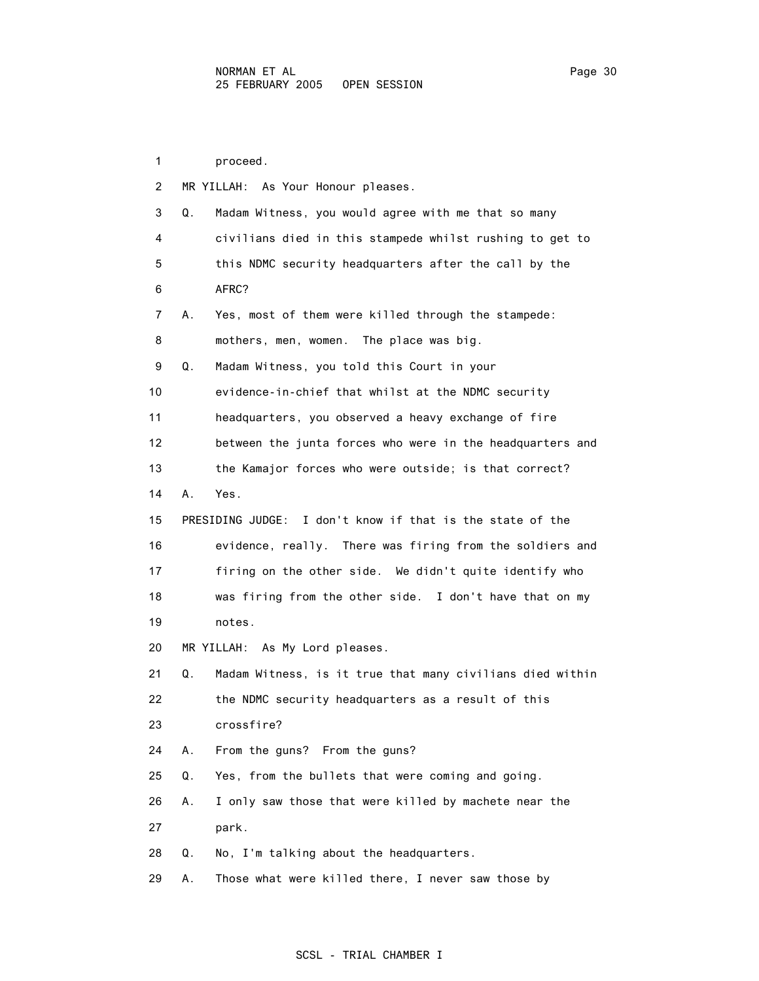1 proceed. 2 MR YILLAH: As Your Honour pleases. 3 Q. Madam Witness, you would agree with me that so many 4 civilians died in this stampede whilst rushing to get to 5 this NDMC security headquarters after the call by the 6 AFRC? 7 A. Yes, most of them were killed through the stampede: 8 mothers, men, women. The place was big. 9 Q. Madam Witness, you told this Court in your 10 evidence-in-chief that whilst at the NDMC security 11 headquarters, you observed a heavy exchange of fire 12 between the junta forces who were in the headquarters and 13 the Kamajor forces who were outside; is that correct? 14 A. Yes. 15 PRESIDING JUDGE: I don't know if that is the state of the 16 evidence, really. There was firing from the soldiers and 17 firing on the other side. We didn't quite identify who 18 was firing from the other side. I don't have that on my 19 notes. 20 MR YILLAH: As My Lord pleases. 21 Q. Madam Witness, is it true that many civilians died within 22 the NDMC security headquarters as a result of this 23 crossfire? 24 A. From the guns? From the guns? 25 Q. Yes, from the bullets that were coming and going. 26 A. I only saw those that were killed by machete near the 27 park. 28 Q. No, I'm talking about the headquarters. 29 A. Those what were killed there, I never saw those by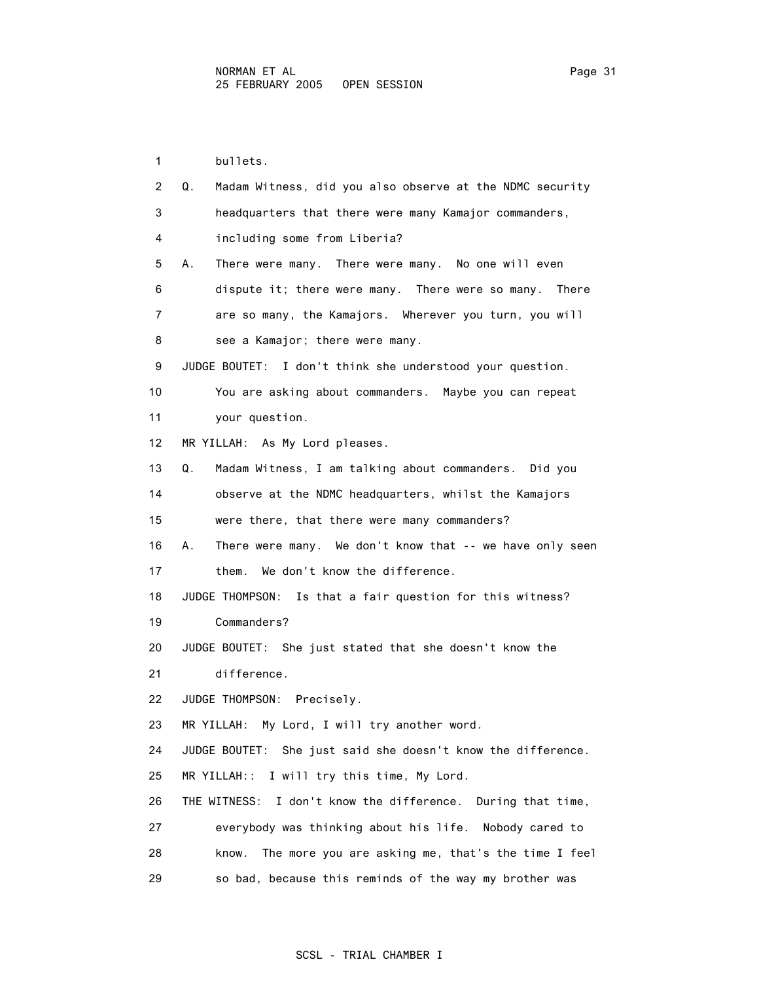1 bullets. 2 Q. Madam Witness, did you also observe at the NDMC security 3 headquarters that there were many Kamajor commanders, 4 including some from Liberia? 5 A. There were many. There were many. No one will even 6 dispute it; there were many. There were so many. There 7 are so many, the Kamajors. Wherever you turn, you will 8 see a Kamajor; there were many. 9 JUDGE BOUTET: I don't think she understood your question. 10 You are asking about commanders. Maybe you can repeat 11 your question. 12 MR YILLAH: As My Lord pleases. 13 Q. Madam Witness, I am talking about commanders. Did you 14 observe at the NDMC headquarters, whilst the Kamajors 15 were there, that there were many commanders? 16 A. There were many. We don't know that -- we have only seen 17 them. We don't know the difference. 18 JUDGE THOMPSON: Is that a fair question for this witness? 19 Commanders? 20 JUDGE BOUTET: She just stated that she doesn't know the 21 difference. 22 JUDGE THOMPSON: Precisely. 23 MR YILLAH: My Lord, I will try another word. 24 JUDGE BOUTET: She just said she doesn't know the difference. 25 MR YILLAH:: I will try this time, My Lord. 26 THE WITNESS: I don't know the difference. During that time, 27 everybody was thinking about his life. Nobody cared to 28 know. The more you are asking me, that's the time I feel 29 so bad, because this reminds of the way my brother was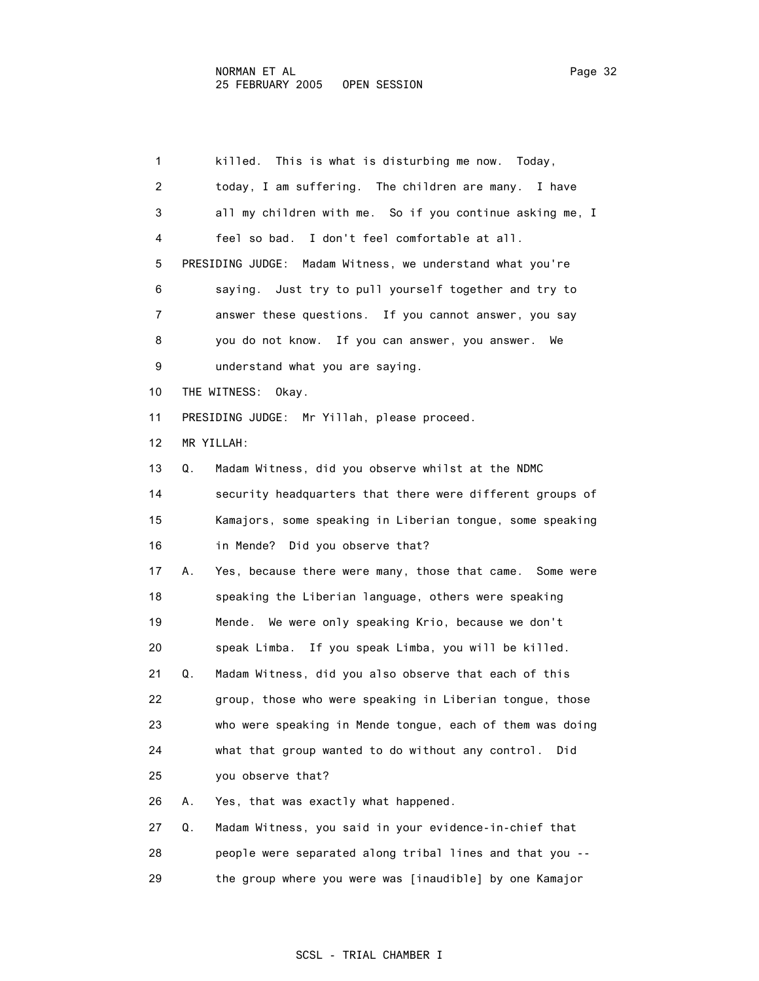1 killed. This is what is disturbing me now. Today, 2 today, I am suffering. The children are many. I have 3 all my children with me. So if you continue asking me, I 4 feel so bad. I don't feel comfortable at all. 5 PRESIDING JUDGE: Madam Witness, we understand what you're 6 saying. Just try to pull yourself together and try to 7 answer these questions. If you cannot answer, you say 8 you do not know. If you can answer, you answer. We 9 understand what you are saying. 10 THE WITNESS: Okay. 11 PRESIDING JUDGE: Mr Yillah, please proceed. 12 MR YILLAH: 13 Q. Madam Witness, did you observe whilst at the NDMC 14 security headquarters that there were different groups of 15 Kamajors, some speaking in Liberian tongue, some speaking 16 in Mende? Did you observe that? 17 A. Yes, because there were many, those that came. Some were 18 speaking the Liberian language, others were speaking 19 Mende. We were only speaking Krio, because we don't 20 speak Limba. If you speak Limba, you will be killed. 21 Q. Madam Witness, did you also observe that each of this 22 group, those who were speaking in Liberian tongue, those 23 who were speaking in Mende tongue, each of them was doing 24 what that group wanted to do without any control. Did 25 you observe that? 26 A. Yes, that was exactly what happened. 27 Q. Madam Witness, you said in your evidence-in-chief that 28 people were separated along tribal lines and that you -- 29 the group where you were was [inaudible] by one Kamajor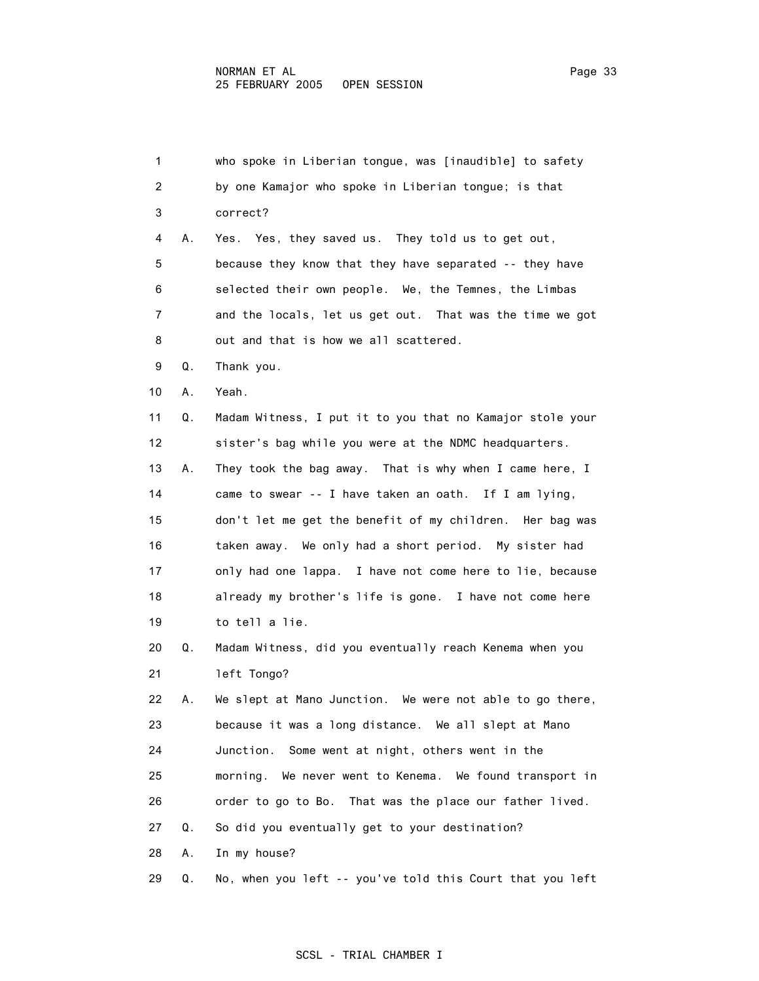| 1              |    | who spoke in Liberian tongue, was [inaudible] to safety    |
|----------------|----|------------------------------------------------------------|
| $\overline{2}$ |    | by one Kamajor who spoke in Liberian tongue; is that       |
| 3              |    | correct?                                                   |
| 4              | А. | Yes. Yes, they saved us. They told us to get out,          |
| 5              |    | because they know that they have separated -- they have    |
| 6              |    | selected their own people. We, the Temnes, the Limbas      |
| 7              |    | and the locals, let us get out. That was the time we got   |
| 8              |    | out and that is how we all scattered.                      |
| 9              | Q. | Thank you.                                                 |
| 10             | А. | Yeah.                                                      |
| 11             | Q. | Madam Witness, I put it to you that no Kamajor stole your  |
| 12             |    | sister's bag while you were at the NDMC headquarters.      |
| 13             | А. | They took the bag away. That is why when I came here, I    |
| 14             |    | came to swear -- I have taken an oath. If I am lying,      |
| 15             |    | don't let me get the benefit of my children. Her bag was   |
| 16             |    | taken away. We only had a short period. My sister had      |
| 17             |    | only had one lappa. I have not come here to lie, because   |
| 18             |    | already my brother's life is gone. I have not come here    |
| 19             |    | to tell a lie.                                             |
| 20             | Q. | Madam Witness, did you eventually reach Kenema when you    |
| 21             |    | left Tongo?                                                |
| 22             | А. | We slept at Mano Junction. We were not able to go there,   |
| 23             |    | because it was a long distance. We all slept at Mano       |
| 24             |    | Junction.<br>Some went at night, others went in the        |
| 25             |    | We never went to Kenema. We found transport in<br>morning. |
| 26             |    | order to go to Bo. That was the place our father lived.    |
| 27             | Q. | So did you eventually get to your destination?             |

28 A. In my house?

29 Q. No, when you left -- you've told this Court that you left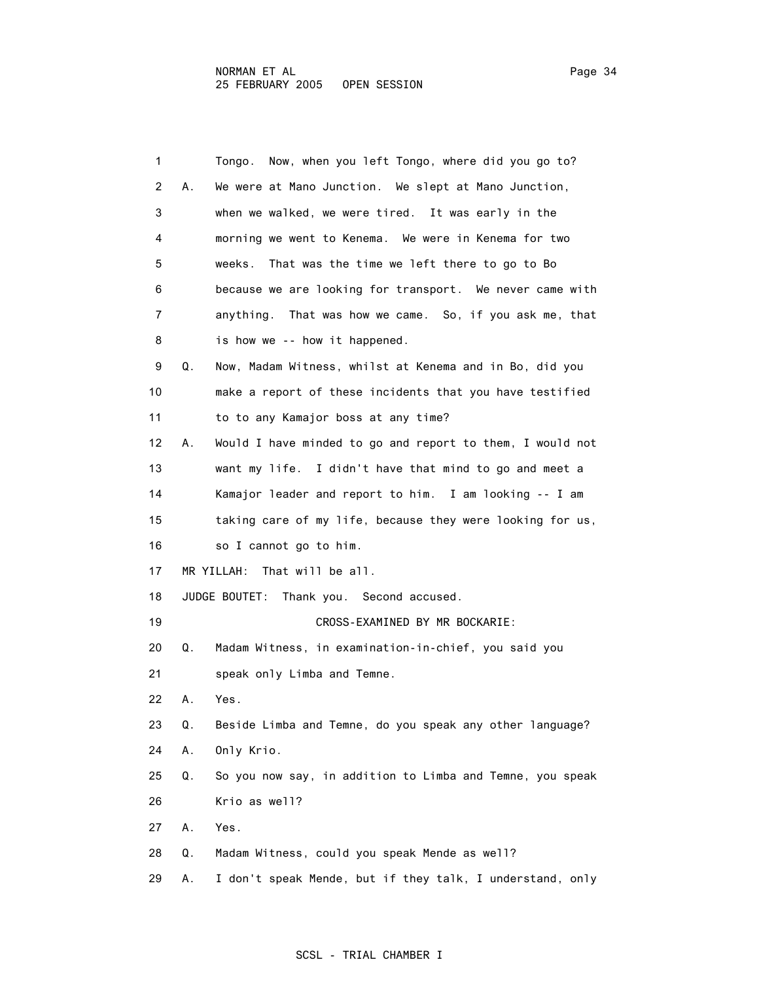| $\mathbf{1}$ |    | Tongo. Now, when you left Tongo, where did you go to?     |
|--------------|----|-----------------------------------------------------------|
|              |    |                                                           |
| 2            | А. | We were at Mano Junction. We slept at Mano Junction,      |
| 3            |    | when we walked, we were tired. It was early in the        |
| 4            |    | morning we went to Kenema. We were in Kenema for two      |
| 5            |    | That was the time we left there to go to Bo<br>weeks.     |
| 6            |    | because we are looking for transport. We never came with  |
| 7            |    | anything. That was how we came. So, if you ask me, that   |
| 8            |    | is how we -- how it happened.                             |
| 9            | Q. | Now, Madam Witness, whilst at Kenema and in Bo, did you   |
| 10           |    | make a report of these incidents that you have testified  |
| 11           |    | to to any Kamajor boss at any time?                       |
| 12           | А. | Would I have minded to go and report to them, I would not |
| 13           |    | want my life. I didn't have that mind to go and meet a    |
| 14           |    | Kamajor leader and report to him. I am looking -- I am    |
| 15           |    | taking care of my life, because they were looking for us, |
| 16           |    | so I cannot go to him.                                    |
| 17           |    | MR YILLAH: That will be all.                              |
| 18           |    | JUDGE BOUTET:<br>Thank you. Second accused.               |
| 19           |    | CROSS-EXAMINED BY MR BOCKARIE:                            |
| 20           | Q. | Madam Witness, in examination-in-chief, you said you      |
| 21           |    | speak only Limba and Temne.                               |
| 22           | Α. | Yes.                                                      |
| 23           | Q. | Beside Limba and Temne, do you speak any other language?  |
| 24           | Α. | Only Krio.                                                |
| 25           | Q. | So you now say, in addition to Limba and Temne, you speak |
| 26           |    | Krio as well?                                             |
| 27           | А. | Yes.                                                      |
| 28           | Q. | Madam Witness, could you speak Mende as well?             |
| 29           | А. | I don't speak Mende, but if they talk, I understand, only |
|              |    |                                                           |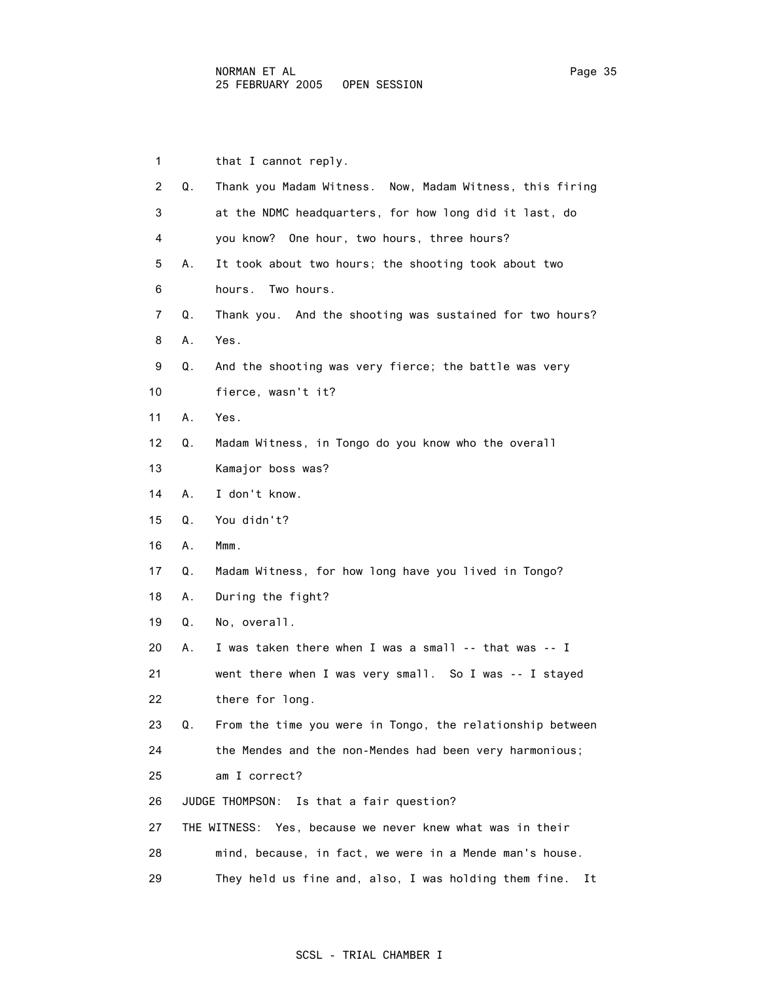| $\mathbf{1}$   |    | that I cannot reply.                                         |
|----------------|----|--------------------------------------------------------------|
| $\overline{2}$ | Q. | Thank you Madam Witness. Now, Madam Witness, this firing     |
| 3              |    | at the NDMC headquarters, for how long did it last, do       |
| 4              |    | you know? One hour, two hours, three hours?                  |
| 5              | А. | It took about two hours; the shooting took about two         |
| 6              |    | Two hours.<br>hours.                                         |
| 7              | Q. | Thank you. And the shooting was sustained for two hours?     |
| 8              | Α. | Yes.                                                         |
| 9              | Q. | And the shooting was very fierce; the battle was very        |
| 10             |    | fierce, wasn't it?                                           |
| 11             | А. | Yes.                                                         |
| 12             | Q. | Madam Witness, in Tongo do you know who the overall          |
| 13             |    | Kamajor boss was?                                            |
| 14             | А. | I don't know.                                                |
| 15             | Q. | You didn't?                                                  |
| 16             | Α. | Mmm.                                                         |
| 17             | Q. | Madam Witness, for how long have you lived in Tongo?         |
| 18             | А. | During the fight?                                            |
| 19             | Q. | No, overall.                                                 |
| 20             | А. | I was taken there when I was a small -- that was -- I        |
| 21             |    | went there when I was very small. So I was -- I stayed       |
| 22             |    | there for long.                                              |
| 23             | Q. | From the time you were in Tongo, the relationship between    |
| 24             |    | the Mendes and the non-Mendes had been very harmonious;      |
| 25             |    | am I correct?                                                |
| 26             |    | Is that a fair question?<br>JUDGE THOMPSON:                  |
| 27             |    | Yes, because we never knew what was in their<br>THE WITNESS: |
| 28             |    | mind, because, in fact, we were in a Mende man's house.      |
|                |    |                                                              |

29 They held us fine and, also, I was holding them fine. It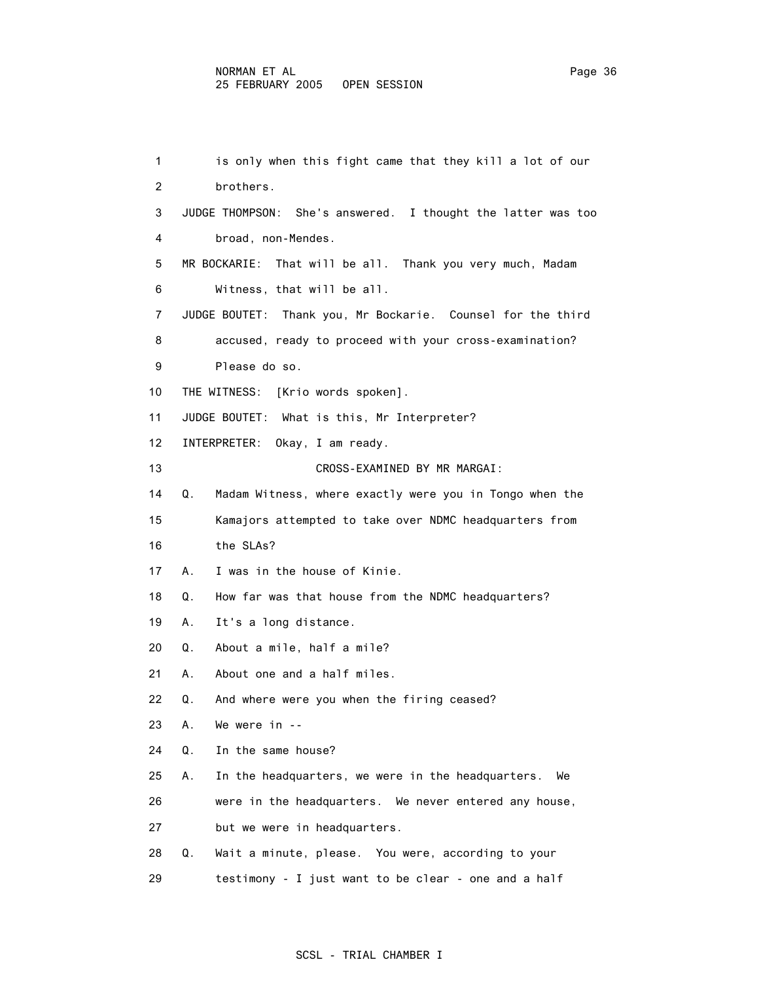1 is only when this fight came that they kill a lot of our 2 brothers. 3 JUDGE THOMPSON: She's answered. I thought the latter was too 4 broad, non-Mendes. 5 MR BOCKARIE: That will be all. Thank you very much, Madam 6 Witness, that will be all. 7 JUDGE BOUTET: Thank you, Mr Bockarie. Counsel for the third 8 accused, ready to proceed with your cross-examination? 9 Please do so. 10 THE WITNESS: [Krio words spoken]. 11 JUDGE BOUTET: What is this, Mr Interpreter? 12 INTERPRETER: Okay, I am ready. 13 CROSS-EXAMINED BY MR MARGAI: 14 Q. Madam Witness, where exactly were you in Tongo when the 15 Kamajors attempted to take over NDMC headquarters from 16 the SLAs? 17 A. I was in the house of Kinie. 18 Q. How far was that house from the NDMC headquarters? 19 A. It's a long distance. 20 Q. About a mile, half a mile? 21 A. About one and a half miles. 22 Q. And where were you when the firing ceased? 23 A. We were in -- 24 Q. In the same house? 25 A. In the headquarters, we were in the headquarters. We 26 were in the headquarters. We never entered any house, 27 but we were in headquarters. 28 Q. Wait a minute, please. You were, according to your 29 testimony - I just want to be clear - one and a half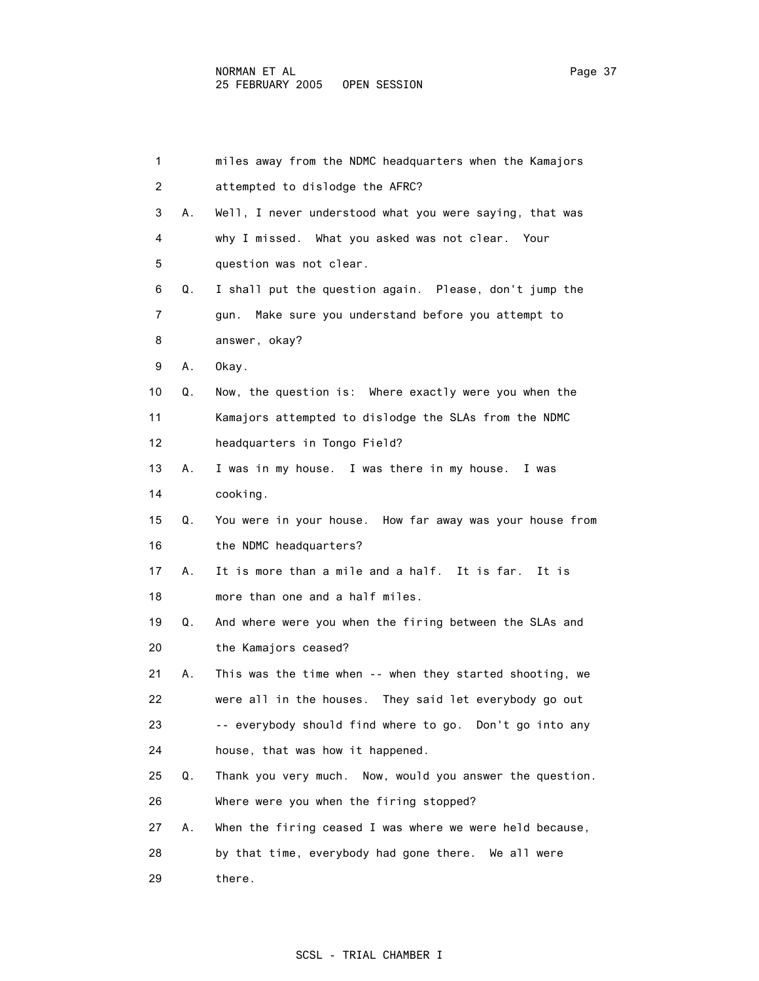| $\mathbf{1}$ |    | miles away from the NDMC headquarters when the Kamajors   |
|--------------|----|-----------------------------------------------------------|
| 2            |    | attempted to dislodge the AFRC?                           |
| 3            | А. | Well, I never understood what you were saying, that was   |
| 4            |    | why I missed. What you asked was not clear. Your          |
| 5            |    | question was not clear.                                   |
| 6            | Q. | I shall put the question again. Please, don't jump the    |
| 7            |    | Make sure you understand before you attempt to<br>gun.    |
| 8            |    | answer, okay?                                             |
| 9            | Α. | Okay.                                                     |
| 10           | Q. | Now, the question is: Where exactly were you when the     |
| 11           |    | Kamajors attempted to dislodge the SLAs from the NDMC     |
| 12           |    | headquarters in Tongo Field?                              |
| 13           | А. | I was in my house. I was there in my house.<br>I was      |
| 14           |    | cooking.                                                  |
| 15           | Q. | You were in your house. How far away was your house from  |
| 16           |    | the NDMC headquarters?                                    |
| 17           | А. | It is more than a mile and a half. It is far.<br>It is    |
| 18           |    | more than one and a half miles.                           |
| 19           | Q. | And where were you when the firing between the SLAs and   |
| 20           |    | the Kamajors ceased?                                      |
| 21           | А. | This was the time when -- when they started shooting, we  |
| 22           |    | were all in the houses.<br>They said let everybody go out |
| 23           |    | -- everybody should find where to go. Don't go into any   |
| 24           |    | house, that was how it happened.                          |
| 25           | Q. | Thank you very much. Now, would you answer the question.  |
| 26           |    | Where were you when the firing stopped?                   |
| 27           | А. | When the firing ceased I was where we were held because,  |
| 28           |    | by that time, everybody had gone there. We all were       |
| 29           |    | there.                                                    |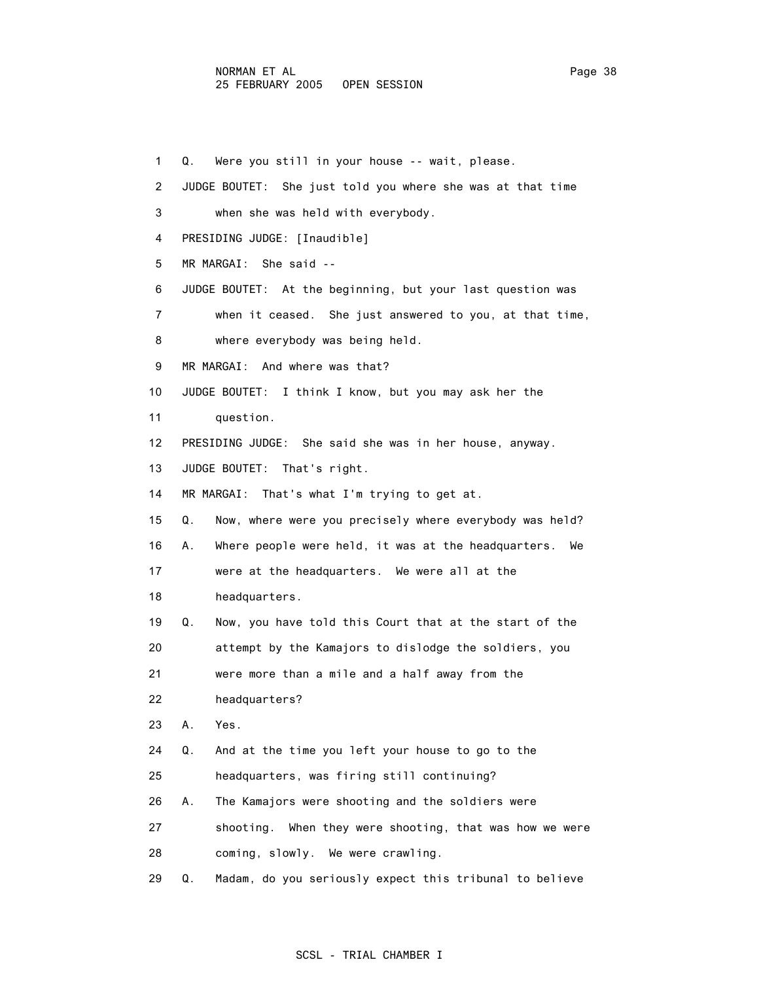1 Q. Were you still in your house -- wait, please. 2 JUDGE BOUTET: She just told you where she was at that time 3 when she was held with everybody. 4 PRESIDING JUDGE: [Inaudible] 5 MR MARGAI: She said -- 6 JUDGE BOUTET: At the beginning, but your last question was 7 when it ceased. She just answered to you, at that time, 8 where everybody was being held. 9 MR MARGAI: And where was that? 10 JUDGE BOUTET: I think I know, but you may ask her the 11 question. 12 PRESIDING JUDGE: She said she was in her house, anyway. 13 JUDGE BOUTET: That's right. 14 MR MARGAI: That's what I'm trying to get at. 15 Q. Now, where were you precisely where everybody was held? 16 A. Where people were held, it was at the headquarters. We 17 were at the headquarters. We were all at the 18 headquarters. 19 Q. Now, you have told this Court that at the start of the 20 attempt by the Kamajors to dislodge the soldiers, you 21 were more than a mile and a half away from the 22 headquarters? 23 A. Yes. 24 Q. And at the time you left your house to go to the 25 headquarters, was firing still continuing? 26 A. The Kamajors were shooting and the soldiers were 27 shooting. When they were shooting, that was how we were 28 coming, slowly. We were crawling.

29 Q. Madam, do you seriously expect this tribunal to believe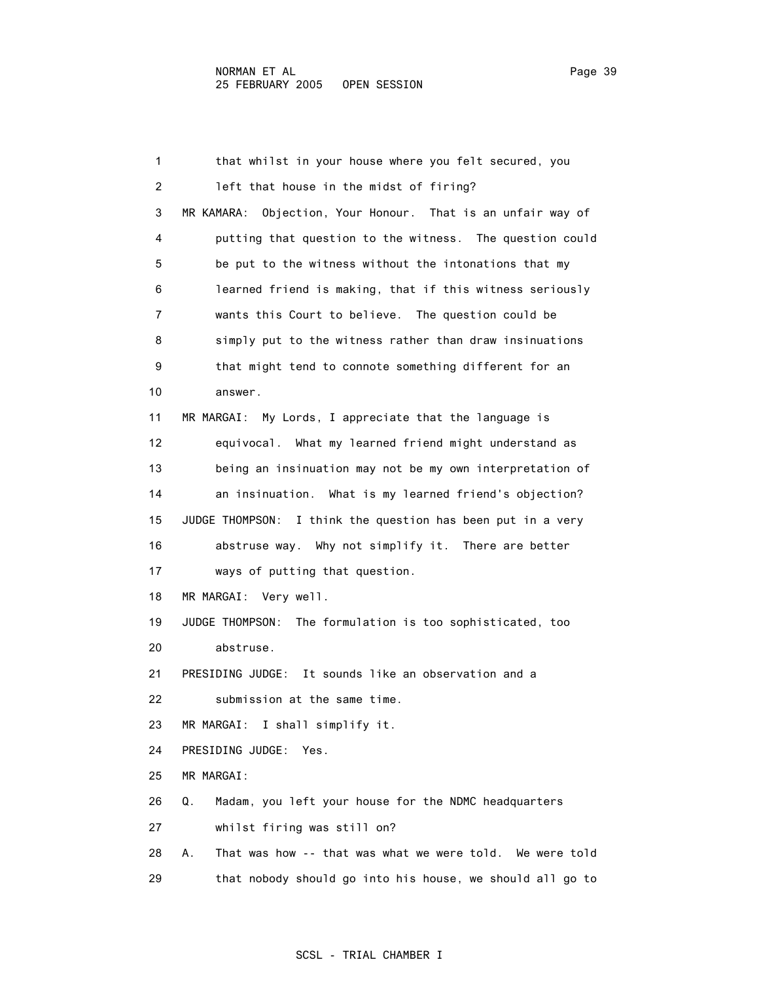1 that whilst in your house where you felt secured, you 2 left that house in the midst of firing? 3 MR KAMARA: Objection, Your Honour. That is an unfair way of 4 putting that question to the witness. The question could 5 be put to the witness without the intonations that my 6 learned friend is making, that if this witness seriously 7 wants this Court to believe. The question could be 8 simply put to the witness rather than draw insinuations 9 that might tend to connote something different for an 10 answer. 11 MR MARGAI: My Lords, I appreciate that the language is 12 equivocal. What my learned friend might understand as 13 being an insinuation may not be my own interpretation of 14 an insinuation. What is my learned friend's objection? 15 JUDGE THOMPSON: I think the question has been put in a very 16 abstruse way. Why not simplify it. There are better 17 ways of putting that question. 18 MR MARGAI: Very well. 19 JUDGE THOMPSON: The formulation is too sophisticated, too 20 abstruse. 21 PRESIDING JUDGE: It sounds like an observation and a 22 submission at the same time. 23 MR MARGAI: I shall simplify it. 24 PRESIDING JUDGE: Yes. 25 MR MARGAI: 26 Q. Madam, you left your house for the NDMC headquarters 27 whilst firing was still on? 28 A. That was how -- that was what we were told. We were told 29 that nobody should go into his house, we should all go to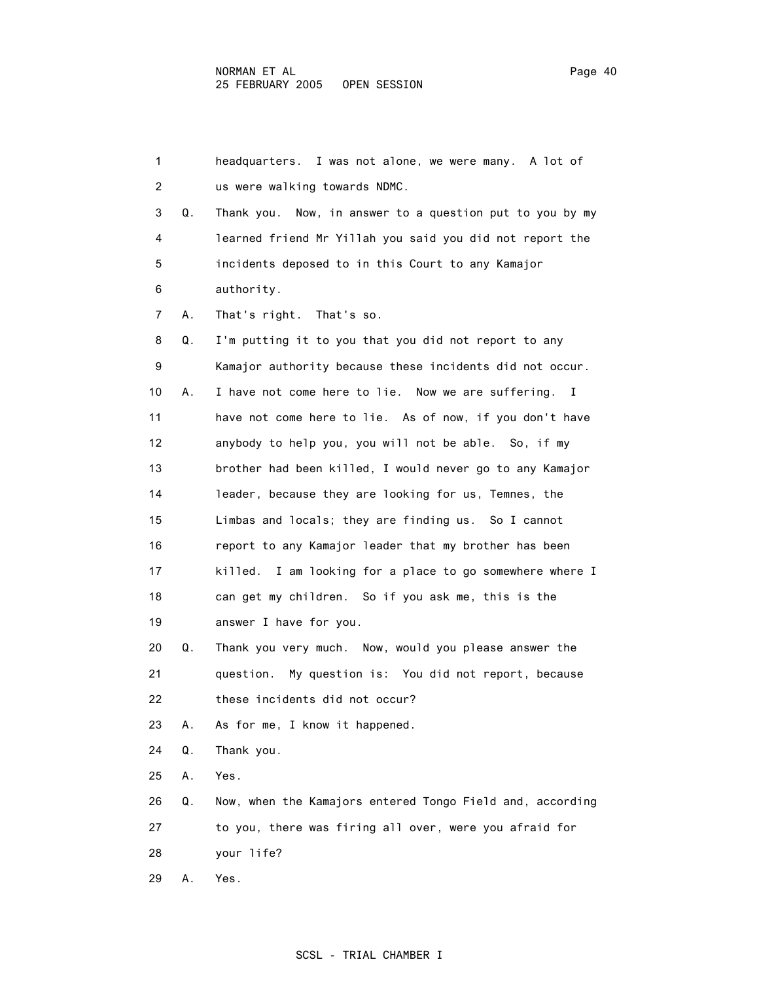| 1  |    | headquarters. I was not alone, we were many. A lot of     |
|----|----|-----------------------------------------------------------|
| 2  |    | us were walking towards NDMC.                             |
| 3  | Q. | Thank you. Now, in answer to a question put to you by my  |
| 4  |    | learned friend Mr Yillah you said you did not report the  |
| 5  |    | incidents deposed to in this Court to any Kamajor         |
| 6  |    | authority.                                                |
| 7  | А. | That's right. That's so.                                  |
| 8  | Q. | I'm putting it to you that you did not report to any      |
| 9  |    | Kamajor authority because these incidents did not occur.  |
| 10 | А. | I have not come here to lie. Now we are suffering. I      |
| 11 |    | have not come here to lie. As of now, if you don't have   |
| 12 |    | anybody to help you, you will not be able. So, if my      |
| 13 |    | brother had been killed, I would never go to any Kamajor  |
| 14 |    | leader, because they are looking for us, Temnes, the      |
| 15 |    | Limbas and locals; they are finding us. So I cannot       |
| 16 |    | report to any Kamajor leader that my brother has been     |
| 17 |    | killed. I am looking for a place to go somewhere where I  |
| 18 |    | can get my children. So if you ask me, this is the        |
| 19 |    | answer I have for you.                                    |
| 20 | Q. | Thank you very much. Now, would you please answer the     |
| 21 |    | question. My question is: You did not report, because     |
| 22 |    | these incidents did not occur?                            |
| 23 | А. | As for me, I know it happened.                            |
| 24 | Q. | Thank you.                                                |
| 25 | Α. | Yes.                                                      |
| 26 | Q. | Now, when the Kamajors entered Tongo Field and, according |
| 27 |    | to you, there was firing all over, were you afraid for    |
| 28 |    | your life?                                                |
| 29 | Α. | Yes.                                                      |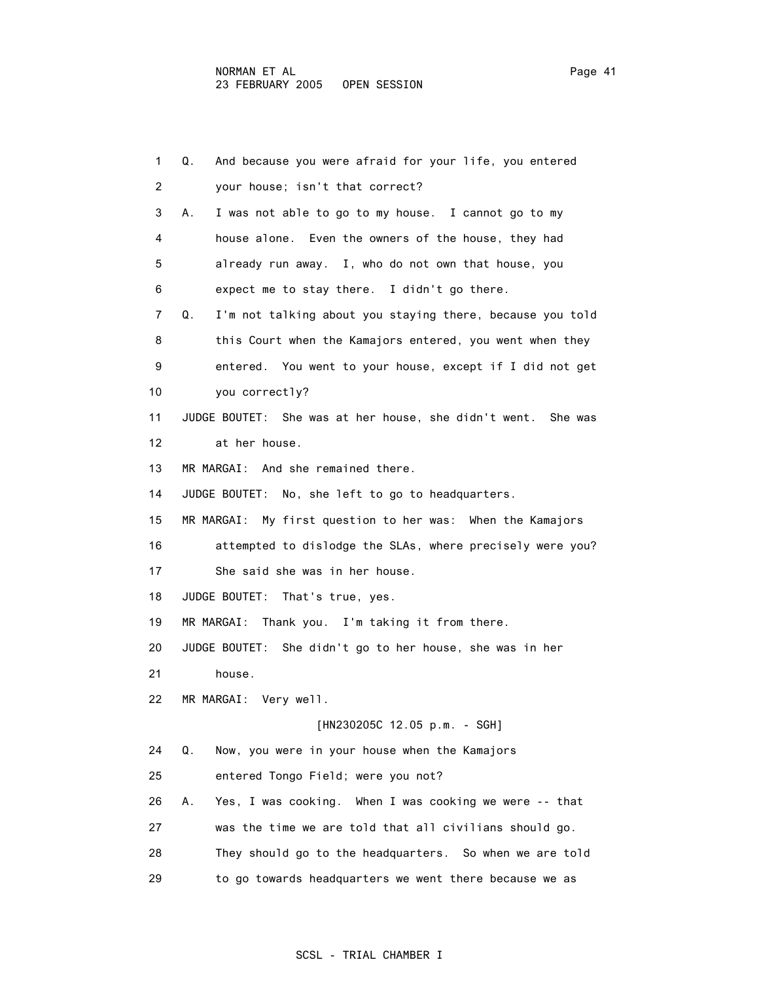| 1  | Q.<br>And because you were afraid for your life, you entered    |
|----|-----------------------------------------------------------------|
| 2  | your house; isn't that correct?                                 |
| 3  | I was not able to go to my house. I cannot go to my<br>А.       |
| 4  | house alone. Even the owners of the house, they had             |
| 5  | already run away. I, who do not own that house, you             |
| 6  | expect me to stay there. I didn't go there.                     |
| 7  | I'm not talking about you staying there, because you told<br>Q. |
| 8  | this Court when the Kamajors entered, you went when they        |
| 9  | entered. You went to your house, except if I did not get        |
| 10 | you correctly?                                                  |
| 11 | JUDGE BOUTET: She was at her house, she didn't went. She was    |
| 12 | at her house.                                                   |
| 13 | MR MARGAI: And she remained there.                              |
| 14 | JUDGE BOUTET: No, she left to go to headquarters.               |
| 15 | MR MARGAI: My first question to her was: When the Kamajors      |
| 16 | attempted to dislodge the SLAs, where precisely were you?       |
| 17 | She said she was in her house.                                  |
| 18 | JUDGE BOUTET: That's true, yes.                                 |
| 19 | MR MARGAI: Thank you. I'm taking it from there.                 |
| 20 | JUDGE BOUTET: She didn't go to her house, she was in her        |
| 21 | house.                                                          |
| 22 | MR MARGAI: Very well.                                           |
|    | [HN230205C 12.05 p.m. - SGH]                                    |
| 24 | Q.<br>Now, you were in your house when the Kamajors             |
| 25 | entered Tongo Field; were you not?                              |
| 26 | Yes, I was cooking. When I was cooking we were -- that<br>А.    |
| 27 | was the time we are told that all civilians should go.          |
| 28 | They should go to the headquarters. So when we are told         |
| 29 | to go towards headquarters we went there because we as          |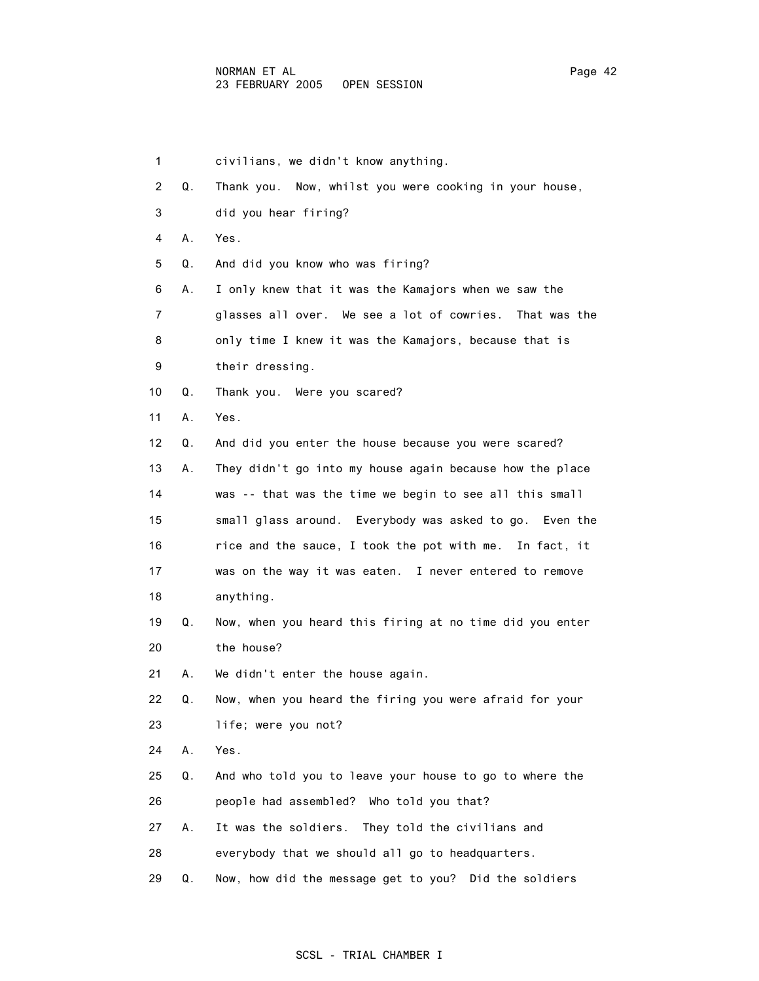| 1  |    | civilians, we didn't know anything.                      |
|----|----|----------------------------------------------------------|
| 2  | Q. | Thank you. Now, whilst you were cooking in your house,   |
| 3  |    | did you hear firing?                                     |
| 4  | Α. | Yes.                                                     |
| 5  | Q. | And did you know who was firing?                         |
| 6  | А. | I only knew that it was the Kamajors when we saw the     |
| 7  |    | glasses all over. We see a lot of cowries. That was the  |
| 8  |    | only time I knew it was the Kamajors, because that is    |
| 9  |    | their dressing.                                          |
| 10 | Q. | Thank you. Were you scared?                              |
| 11 | Α. | Yes.                                                     |
| 12 | Q. | And did you enter the house because you were scared?     |
| 13 | А. | They didn't go into my house again because how the place |
| 14 |    | was -- that was the time we begin to see all this small  |
| 15 |    | small glass around. Everybody was asked to go. Even the  |
| 16 |    | rice and the sauce, I took the pot with me. In fact, it  |
| 17 |    | was on the way it was eaten. I never entered to remove   |
| 18 |    | anything.                                                |
| 19 | Q. | Now, when you heard this firing at no time did you enter |
| 20 |    | the house?                                               |
| 21 | А. | We didn't enter the house again.                         |
| 22 | Q. | Now, when you heard the firing you were afraid for your  |
| 23 |    | life; were you not?                                      |
| 24 | Α. | Yes.                                                     |
| 25 | Q. | And who told you to leave your house to go to where the  |
| 26 |    | people had assembled? Who told you that?                 |
| 27 | Α. | It was the soldiers.<br>They told the civilians and      |
| 28 |    | everybody that we should all go to headquarters.         |

29 Q. Now, how did the message get to you? Did the soldiers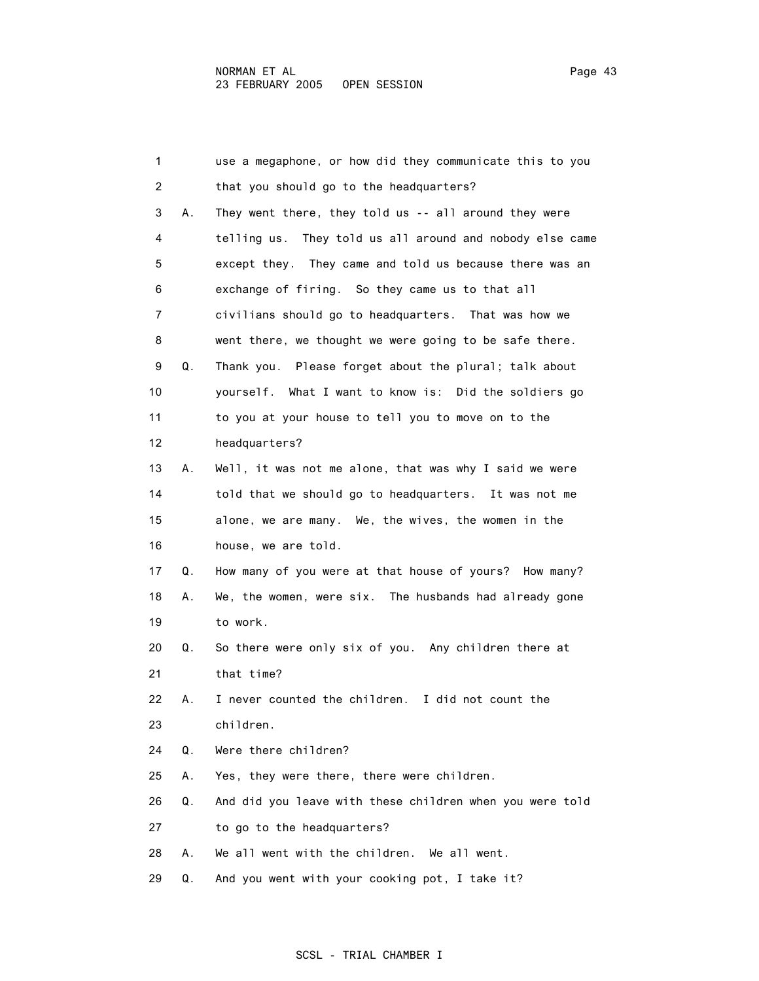| 1              |    | use a megaphone, or how did they communicate this to you |
|----------------|----|----------------------------------------------------------|
| $\overline{2}$ |    | that you should go to the headquarters?                  |
| 3              | А. | They went there, they told us -- all around they were    |
| 4              |    | telling us. They told us all around and nobody else came |
| 5              |    | except they. They came and told us because there was an  |
| 6              |    | exchange of firing. So they came us to that all          |
| 7              |    | civilians should go to headquarters. That was how we     |
| 8              |    | went there, we thought we were going to be safe there.   |
| 9              | Q. | Thank you. Please forget about the plural; talk about    |
| 10             |    | yourself. What I want to know is: Did the soldiers go    |
| 11             |    | to you at your house to tell you to move on to the       |
| 12             |    | headquarters?                                            |
| 13             | А. | Well, it was not me alone, that was why I said we were   |
| 14             |    | told that we should go to headquarters. It was not me    |
| 15             |    | alone, we are many. We, the wives, the women in the      |
| 16             |    | house, we are told.                                      |
| 17             | Q. | How many of you were at that house of yours? How many?   |
| 18             | А. | We, the women, were six. The husbands had already gone   |
| 19             |    | to work.                                                 |
| 20             | Q. | So there were only six of you. Any children there at     |
| 21             |    | that time?                                               |
| 22             | А. | I never counted the children.<br>I did not count the     |
| 23             |    | children.                                                |
| 24             | Q. | Were there children?                                     |
| 25             | А. | Yes, they were there, there were children.               |
| 26             | Q. | And did you leave with these children when you were told |
| 27             |    | to go to the headquarters?                               |
| 28             | А. | We all went with the children. We all went.              |
| 29             | Q. | And you went with your cooking pot, I take it?           |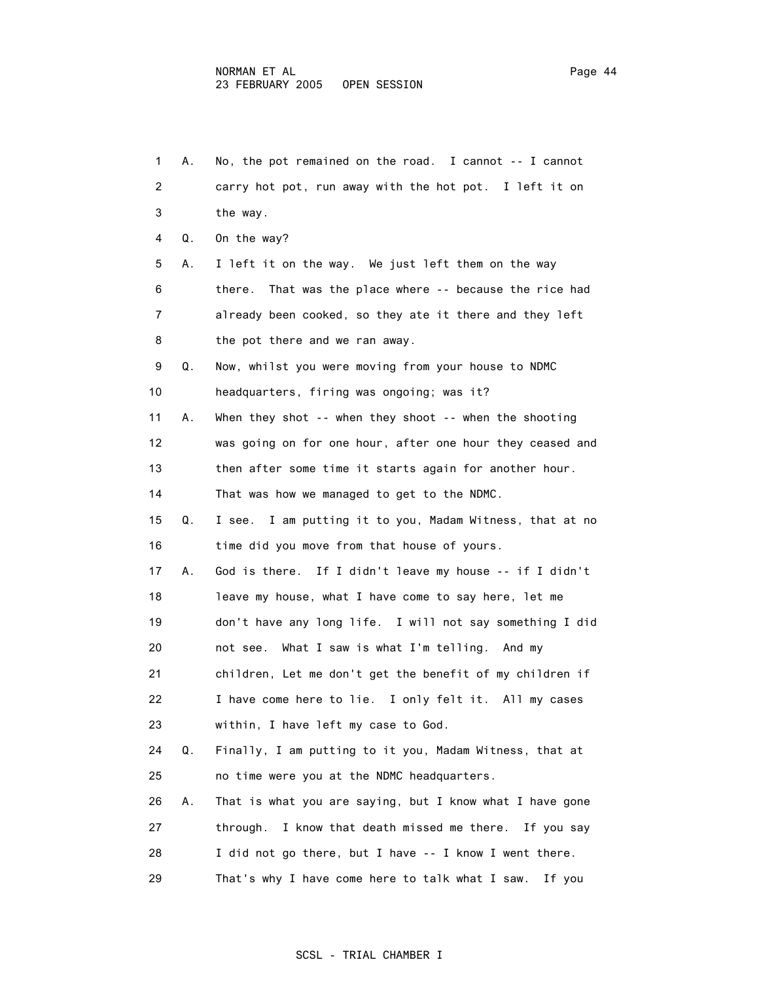| 1  | А. | No, the pot remained on the road. I cannot -- I cannot     |
|----|----|------------------------------------------------------------|
| 2  |    | carry hot pot, run away with the hot pot. I left it on     |
| 3  |    | the way.                                                   |
| 4  | Q. | On the way?                                                |
| 5  | А. | I left it on the way. We just left them on the way         |
| 6  |    | That was the place where -- because the rice had<br>there. |
| 7  |    | already been cooked, so they ate it there and they left    |
| 8  |    | the pot there and we ran away.                             |
| 9  | Q. | Now, whilst you were moving from your house to NDMC        |
| 10 |    | headquarters, firing was ongoing; was it?                  |
| 11 | А. | When they shot -- when they shoot -- when the shooting     |
| 12 |    | was going on for one hour, after one hour they ceased and  |
| 13 |    | then after some time it starts again for another hour.     |
| 14 |    | That was how we managed to get to the NDMC.                |
| 15 | Q. | I see. I am putting it to you, Madam Witness, that at no   |
| 16 |    | time did you move from that house of yours.                |
| 17 | Α. | God is there. If I didn't leave my house -- if I didn't    |
| 18 |    | leave my house, what I have come to say here, let me       |
| 19 |    | don't have any long life. I will not say something I did   |
| 20 |    | not see. What I saw is what I'm telling. And my            |
| 21 |    | children, Let me don't get the benefit of my children if   |
| 22 |    | I have come here to lie. I only felt it. All my cases      |
| 23 |    | within, I have left my case to God.                        |
| 24 | Q. | Finally, I am putting to it you, Madam Witness, that at    |
| 25 |    | no time were you at the NDMC headquarters.                 |
| 26 | Α. | That is what you are saying, but I know what I have gone   |
| 27 |    | through. I know that death missed me there. If you say     |
| 28 |    | I did not go there, but I have -- I know I went there.     |
| 29 |    | That's why I have come here to talk what I saw.<br>If you  |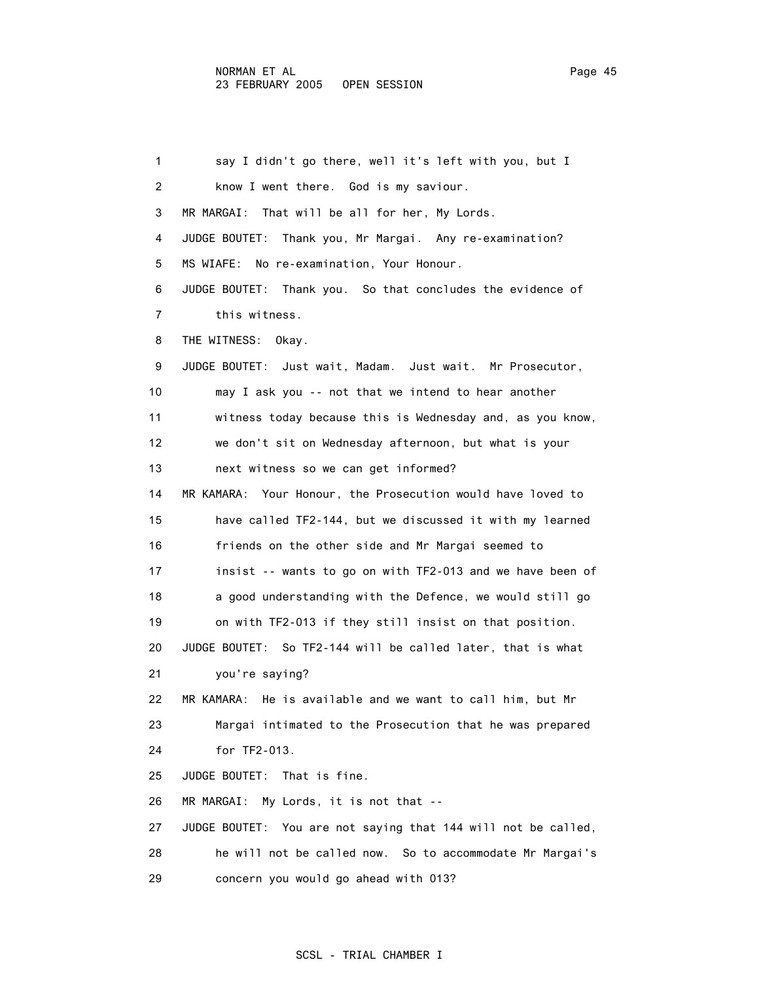1 say I didn't go there, well it's left with you, but I 2 know I went there. God is my saviour. 3 MR MARGAI: That will be all for her, My Lords. 4 JUDGE BOUTET: Thank you, Mr Margai. Any re-examination? 5 MS WIAFE: No re-examination, Your Honour. 6 JUDGE BOUTET: Thank you. So that concludes the evidence of 7 this witness. 8 THE WITNESS: Okay. 9 JUDGE BOUTET: Just wait, Madam. Just wait. Mr Prosecutor, 10 may I ask you -- not that we intend to hear another 11 witness today because this is Wednesday and, as you know, 12 we don't sit on Wednesday afternoon, but what is your 13 next witness so we can get informed? 14 MR KAMARA: Your Honour, the Prosecution would have loved to 15 have called TF2-144, but we discussed it with my learned 16 friends on the other side and Mr Margai seemed to 17 insist -- wants to go on with TF2-013 and we have been of 18 a good understanding with the Defence, we would still go 19 on with TF2-013 if they still insist on that position. 20 JUDGE BOUTET: So TF2-144 will be called later, that is what 21 you're saying? 22 MR KAMARA: He is available and we want to call him, but Mr 23 Margai intimated to the Prosecution that he was prepared 24 for TF2-013. 25 JUDGE BOUTET: That is fine. 26 MR MARGAI: My Lords, it is not that -- 27 JUDGE BOUTET: You are not saying that 144 will not be called, 28 he will not be called now. So to accommodate Mr Margai's 29 concern you would go ahead with 013?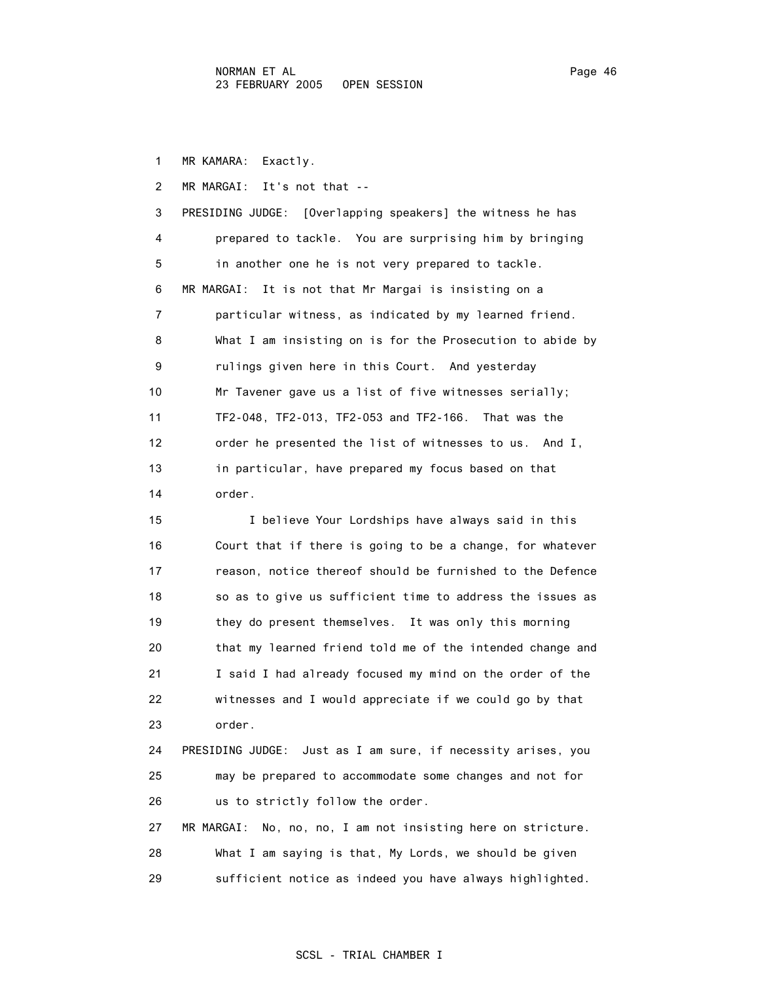1 MR KAMARA: Exactly.

 2 MR MARGAI: It's not that -- 3 PRESIDING JUDGE: [Overlapping speakers] the witness he has 4 prepared to tackle. You are surprising him by bringing 5 in another one he is not very prepared to tackle. 6 MR MARGAI: It is not that Mr Margai is insisting on a 7 particular witness, as indicated by my learned friend. 8 What I am insisting on is for the Prosecution to abide by 9 rulings given here in this Court. And yesterday 10 Mr Tavener gave us a list of five witnesses serially; 11 TF2-048, TF2-013, TF2-053 and TF2-166. That was the 12 order he presented the list of witnesses to us. And I, 13 in particular, have prepared my focus based on that 14 order.

 15 I believe Your Lordships have always said in this 16 Court that if there is going to be a change, for whatever 17 reason, notice thereof should be furnished to the Defence 18 so as to give us sufficient time to address the issues as 19 they do present themselves. It was only this morning 20 that my learned friend told me of the intended change and 21 I said I had already focused my mind on the order of the 22 witnesses and I would appreciate if we could go by that 23 order. 24 PRESIDING JUDGE: Just as I am sure, if necessity arises, you 25 may be prepared to accommodate some changes and not for 26 us to strictly follow the order. 27 MR MARGAI: No, no, no, I am not insisting here on stricture.

 28 What I am saying is that, My Lords, we should be given 29 sufficient notice as indeed you have always highlighted.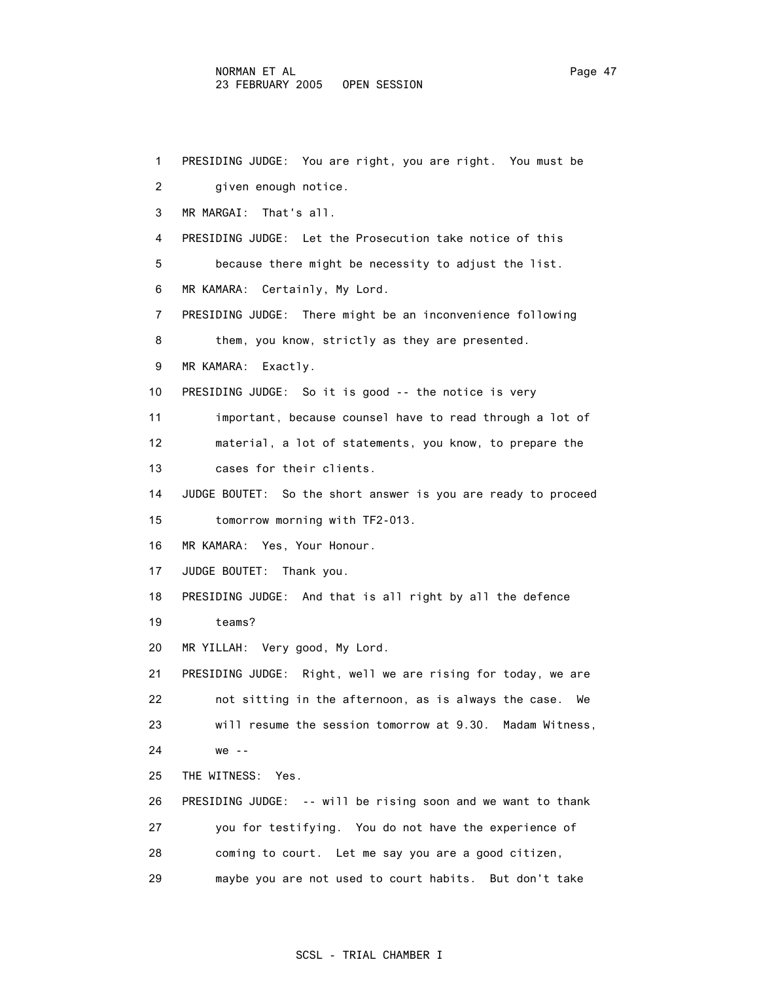#### NORMAN ET AL Page 47 23 FEBRUARY 2005 OPEN SESSION

```
 1 PRESIDING JUDGE: You are right, you are right. You must be 
 2 given enough notice. 
 3 MR MARGAI: That's all. 
 4 PRESIDING JUDGE: Let the Prosecution take notice of this 
 5 because there might be necessity to adjust the list. 
 6 MR KAMARA: Certainly, My Lord. 
 7 PRESIDING JUDGE: There might be an inconvenience following 
8 them, you know, strictly as they are presented.
 9 MR KAMARA: Exactly. 
 10 PRESIDING JUDGE: So it is good -- the notice is very 
11 important, because counsel have to read through a lot of
 12 material, a lot of statements, you know, to prepare the 
 13 cases for their clients. 
 14 JUDGE BOUTET: So the short answer is you are ready to proceed 
 15 tomorrow morning with TF2-013. 
 16 MR KAMARA: Yes, Your Honour. 
 17 JUDGE BOUTET: Thank you. 
 18 PRESIDING JUDGE: And that is all right by all the defence 
 19 teams? 
 20 MR YILLAH: Very good, My Lord. 
 21 PRESIDING JUDGE: Right, well we are rising for today, we are 
 22 not sitting in the afternoon, as is always the case. We 
 23 will resume the session tomorrow at 9.30. Madam Witness, 
 24 we -- 
 25 THE WITNESS: Yes. 
 26 PRESIDING JUDGE: -- will be rising soon and we want to thank 
 27 you for testifying. You do not have the experience of 
 28 coming to court. Let me say you are a good citizen, 
 29 maybe you are not used to court habits. But don't take
```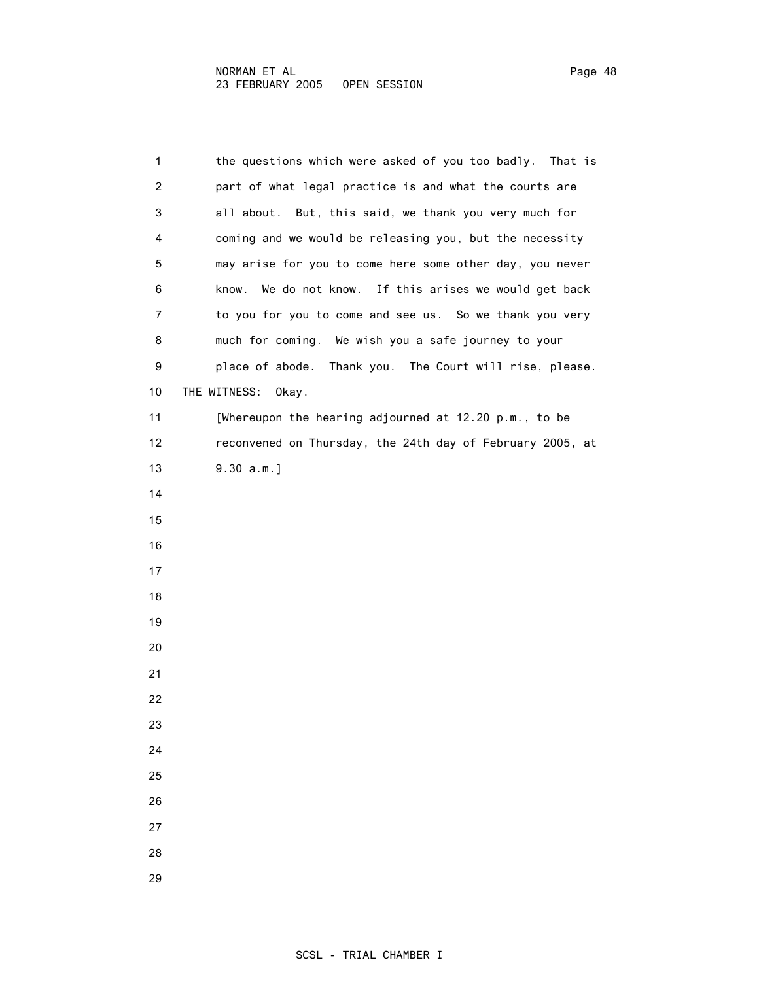| 1  | the questions which were asked of you too badly. That is  |
|----|-----------------------------------------------------------|
| 2  | part of what legal practice is and what the courts are    |
| 3  | all about. But, this said, we thank you very much for     |
| 4  | coming and we would be releasing you, but the necessity   |
| 5  | may arise for you to come here some other day, you never  |
| 6  | know.<br>We do not know. If this arises we would get back |
| 7  | to you for you to come and see us. So we thank you very   |
| 8  | much for coming. We wish you a safe journey to your       |
| 9  | place of abode. Thank you. The Court will rise, please.   |
| 10 | THE WITNESS:<br>Okay.                                     |
| 11 | [Whereupon the hearing adjourned at 12.20 p.m., to be     |
| 12 | reconvened on Thursday, the 24th day of February 2005, at |
| 13 | $9.30 a.m.$ ]                                             |
| 14 |                                                           |
| 15 |                                                           |
| 16 |                                                           |
| 17 |                                                           |
| 18 |                                                           |
| 19 |                                                           |
| 20 |                                                           |
| 21 |                                                           |
| 22 |                                                           |
| 23 |                                                           |
| 24 |                                                           |
| 25 |                                                           |
| 26 |                                                           |
| 27 |                                                           |
| 28 |                                                           |
|    |                                                           |

29